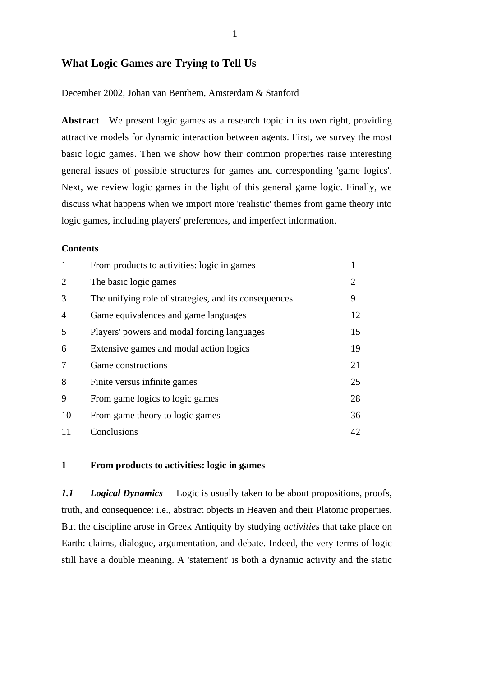# **What Logic Games are Trying to Tell Us**

December 2002, Johan van Benthem, Amsterdam & Stanford

**Abstract** We present logic games as a research topic in its own right, providing attractive models for dynamic interaction between agents. First, we survey the most basic logic games. Then we show how their common properties raise interesting general issues of possible structures for games and corresponding 'game logics'. Next, we review logic games in the light of this general game logic. Finally, we discuss what happens when we import more 'realistic' themes from game theory into logic games, including players' preferences, and imperfect information.

#### **Contents**

| 1              | From products to activities: logic in games           |                       |
|----------------|-------------------------------------------------------|-----------------------|
| 2              | The basic logic games                                 | $\mathcal{D}_{\cdot}$ |
| 3              | The unifying role of strategies, and its consequences | 9                     |
| $\overline{4}$ | Game equivalences and game languages                  | 12                    |
| 5              | Players' powers and modal forcing languages           | 15                    |
| 6              | Extensive games and modal action logics               | 19                    |
| 7              | Game constructions                                    | 21                    |
| 8              | Finite versus infinite games                          | 25                    |
| 9              | From game logics to logic games                       | 28                    |
| 10             | From game theory to logic games                       | 36                    |
| 11             | Conclusions                                           | 42                    |

# **1 From products to activities: logic in games**

*1.1 Logical Dynamics* Logic is usually taken to be about propositions, proofs, truth, and consequence: i.e., abstract objects in Heaven and their Platonic properties. But the discipline arose in Greek Antiquity by studying *activities* that take place on Earth: claims, dialogue, argumentation, and debate. Indeed, the very terms of logic still have a double meaning. A 'statement' is both a dynamic activity and the static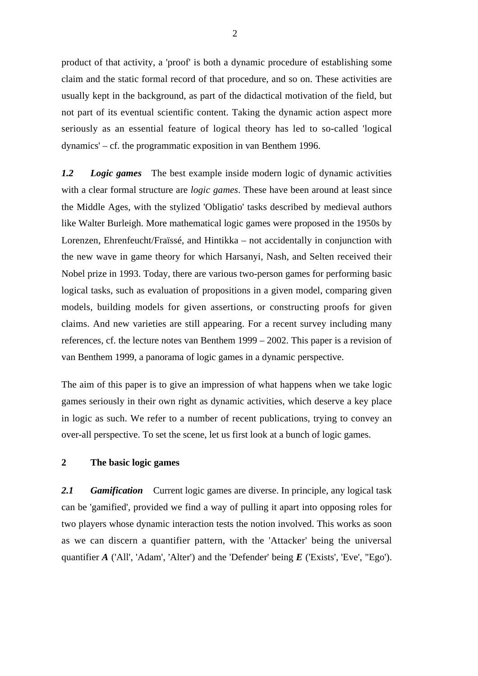product of that activity, a 'proof' is both a dynamic procedure of establishing some claim and the static formal record of that procedure, and so on. These activities are usually kept in the background, as part of the didactical motivation of the field, but not part of its eventual scientific content. Taking the dynamic action aspect more seriously as an essential feature of logical theory has led to so-called 'logical dynamics' – cf. the programmatic exposition in van Benthem 1996.

*1.2 Logic games* The best example inside modern logic of dynamic activities with a clear formal structure are *logic games*. These have been around at least since the Middle Ages, with the stylized 'Obligatio' tasks described by medieval authors like Walter Burleigh. More mathematical logic games were proposed in the 1950s by Lorenzen, Ehrenfeucht/Fraïssé, and Hintikka – not accidentally in conjunction with the new wave in game theory for which Harsanyi, Nash, and Selten received their Nobel prize in 1993. Today, there are various two-person games for performing basic logical tasks, such as evaluation of propositions in a given model, comparing given models, building models for given assertions, or constructing proofs for given claims. And new varieties are still appearing. For a recent survey including many references, cf. the lecture notes van Benthem 1999 – 2002. This paper is a revision of van Benthem 1999, a panorama of logic games in a dynamic perspective.

The aim of this paper is to give an impression of what happens when we take logic games seriously in their own right as dynamic activities, which deserve a key place in logic as such. We refer to a number of recent publications, trying to convey an over-all perspective. To set the scene, let us first look at a bunch of logic games.

# **2 The basic logic games**

*2.1 Gamification* Current logic games are diverse. In principle, any logical task can be 'gamified', provided we find a way of pulling it apart into opposing roles for two players whose dynamic interaction tests the notion involved. This works as soon as we can discern a quantifier pattern, with the 'Attacker' being the universal quantifier *A* ('All', 'Adam', 'Alter') and the 'Defender' being *E* ('Exists', 'Eve', "Ego').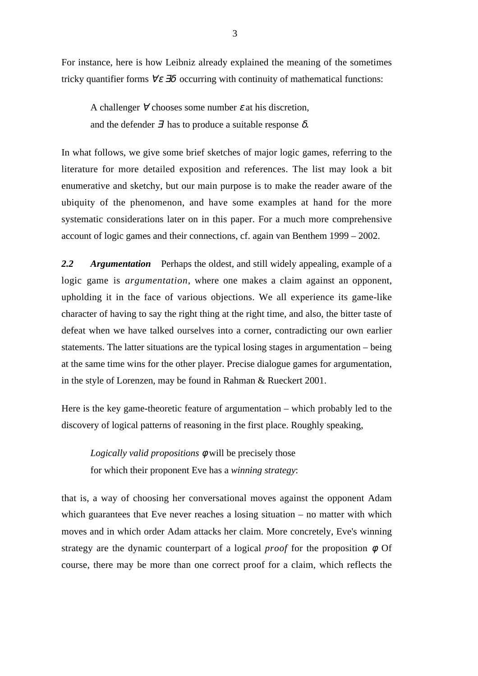For instance, here is how Leibniz already explained the meaning of the sometimes tricky quantifier forms  $\forall \varepsilon \, \exists \delta$  occurring with continuity of mathematical functions:

A challenger  $\forall$  chooses some number  $\varepsilon$  at his discretion, and the defender  $\exists$  has to produce a suitable response  $\delta$ .

In what follows, we give some brief sketches of major logic games, referring to the literature for more detailed exposition and references. The list may look a bit enumerative and sketchy, but our main purpose is to make the reader aware of the ubiquity of the phenomenon, and have some examples at hand for the more systematic considerations later on in this paper. For a much more comprehensive account of logic games and their connections, cf. again van Benthem 1999 – 2002.

*2.2 Argumentation* Perhaps the oldest, and still widely appealing, example of a logic game is *argumentation*, where one makes a claim against an opponent, upholding it in the face of various objections. We all experience its game-like character of having to say the right thing at the right time, and also, the bitter taste of defeat when we have talked ourselves into a corner, contradicting our own earlier statements. The latter situations are the typical losing stages in argumentation – being at the same time wins for the other player. Precise dialogue games for argumentation, in the style of Lorenzen, may be found in Rahman & Rueckert 2001.

Here is the key game-theoretic feature of argumentation – which probably led to the discovery of logical patterns of reasoning in the first place. Roughly speaking,

*Logically valid propositions* φ will be precisely those for which their proponent Eve has a *winning strategy*:

that is, a way of choosing her conversational moves against the opponent Adam which guarantees that Eve never reaches a losing situation – no matter with which moves and in which order Adam attacks her claim. More concretely, Eve's winning strategy are the dynamic counterpart of a logical *proof* for the proposition φ. Of course, there may be more than one correct proof for a claim, which reflects the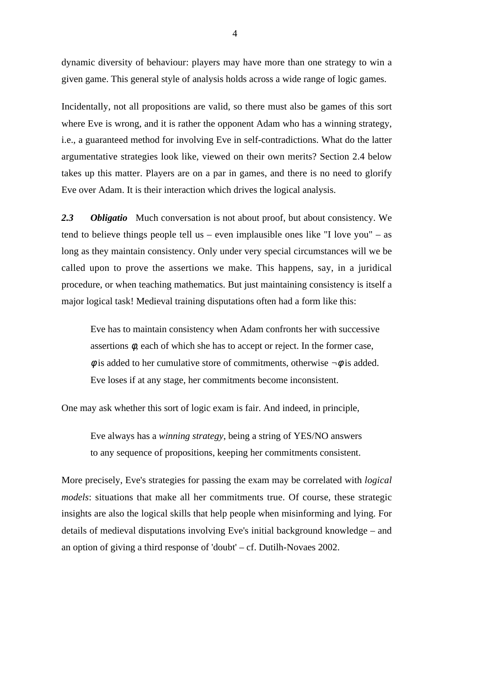dynamic diversity of behaviour: players may have more than one strategy to win a given game. This general style of analysis holds across a wide range of logic games.

Incidentally, not all propositions are valid, so there must also be games of this sort where Eve is wrong, and it is rather the opponent Adam who has a winning strategy, i.e., a guaranteed method for involving Eve in self-contradictions. What do the latter argumentative strategies look like, viewed on their own merits? Section 2.4 below takes up this matter. Players are on a par in games, and there is no need to glorify Eve over Adam. It is their interaction which drives the logical analysis.

*2.3 Obligatio* Much conversation is not about proof, but about consistency. We tend to believe things people tell us – even implausible ones like "I love you" – as long as they maintain consistency. Only under very special circumstances will we be called upon to prove the assertions we make. This happens, say, in a juridical procedure, or when teaching mathematics. But just maintaining consistency is itself a major logical task! Medieval training disputations often had a form like this:

Eve has to maintain consistency when Adam confronts her with successive assertions  $\phi$ , each of which she has to accept or reject. In the former case,  $\phi$  is added to her cumulative store of commitments, otherwise  $\neg \phi$  is added. Eve loses if at any stage, her commitments become inconsistent.

One may ask whether this sort of logic exam is fair. And indeed, in principle,

Eve always has a *winning strategy*, being a string of YES/NO answers to any sequence of propositions, keeping her commitments consistent.

More precisely, Eve's strategies for passing the exam may be correlated with *logical models*: situations that make all her commitments true. Of course, these strategic insights are also the logical skills that help people when misinforming and lying. For details of medieval disputations involving Eve's initial background knowledge – and an option of giving a third response of 'doubt' – cf. Dutilh-Novaes 2002.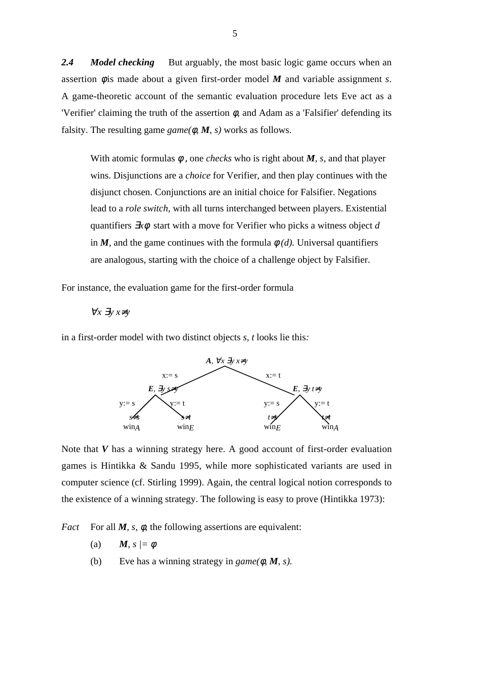2.4 *Model checking* But arguably, the most basic logic game occurs when an assertion  $\phi$  is made about a given first-order model  $M$  and variable assignment  $s$ . A game-theoretic account of the semantic evaluation procedure lets Eve act as a 'Verifier' claiming the truth of the assertion  $\phi$ , and Adam as a 'Falsifier' defending its falsity. The resulting game  $\text{game}(\phi, M, s)$  works as follows.

With atomic formulas  $\phi$ , one *checks* who is right about *M*, *s*, and that player wins. Disjunctions are a *choice* for Verifier, and then play continues with the disjunct chosen. Conjunctions are an initial choice for Falsifier. Negations lead to a *role switch*, with all turns interchanged between players. Existential quantifiers ∃*x*φ start with a move for Verifier who picks a witness object *d* in *M*, and the game continues with the formula  $\phi$  *(d)*. Universal quantifiers are analogous, starting with the choice of a challenge object by Falsifier.

For instance, the evaluation game for the first-order formula

∀*x* ∃*y x*≠*y*

in a first-order model with two distinct objects *s, t* looks lie this*:*



Note that *V* has a winning strategy here. A good account of first-order evaluation games is Hintikka & Sandu 1995, while more sophisticated variants are used in computer science (cf. Stirling 1999). Again, the central logical notion corresponds to the existence of a winning strategy. The following is easy to prove (Hintikka 1973):

*Fact* For all *M*, *s*,  $\phi$ , the following assertions are equivalent:

- (a) *M, s*  $\neq$   $\phi$
- (b) Eve has a winning strategy in *game(*φ*, M, s).*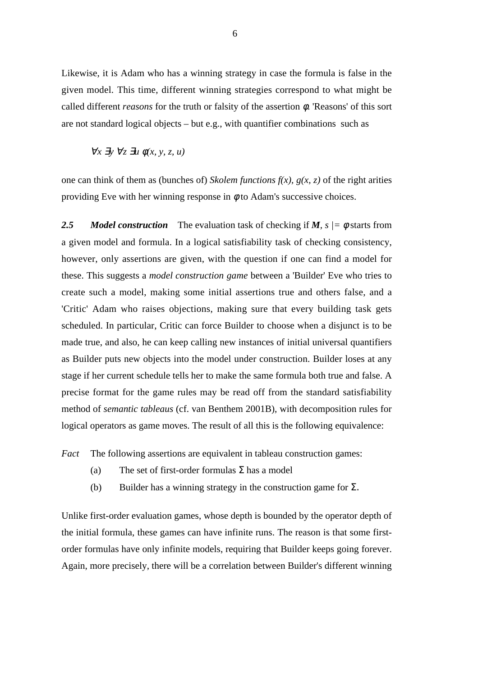Likewise, it is Adam who has a winning strategy in case the formula is false in the given model. This time, different winning strategies correspond to what might be called different *reasons* for the truth or falsity of the assertion φ. 'Reasons' of this sort are not standard logical objects – but e.g., with quantifier combinations such as

$$
\forall x \exists y \forall z \exists u \phi(x, y, z, u)
$$

one can think of them as (bunches of) *Skolem functions*  $f(x)$ ,  $g(x, z)$  of the right arities providing Eve with her winning response in  $\phi$  to Adam's successive choices.

2.5 *Model construction* The evaluation task of checking if *M, s*  $/=$   $\phi$  starts from a given model and formula. In a logical satisfiability task of checking consistency, however, only assertions are given, with the question if one can find a model for these. This suggests a *model construction game* between a 'Builder' Eve who tries to create such a model, making some initial assertions true and others false, and a 'Critic' Adam who raises objections, making sure that every building task gets scheduled. In particular, Critic can force Builder to choose when a disjunct is to be made true, and also, he can keep calling new instances of initial universal quantifiers as Builder puts new objects into the model under construction. Builder loses at any stage if her current schedule tells her to make the same formula both true and false. A precise format for the game rules may be read off from the standard satisfiability method of *semantic tableaus* (cf. van Benthem 2001B), with decomposition rules for logical operators as game moves. The result of all this is the following equivalence:

*Fact* The following assertions are equivalent in tableau construction games:

- (a) The set of first-order formulas  $\Sigma$  has a model
- (b) Builder has a winning strategy in the construction game for  $\Sigma$ .

Unlike first-order evaluation games, whose depth is bounded by the operator depth of the initial formula, these games can have infinite runs. The reason is that some firstorder formulas have only infinite models, requiring that Builder keeps going forever. Again, more precisely, there will be a correlation between Builder's different winning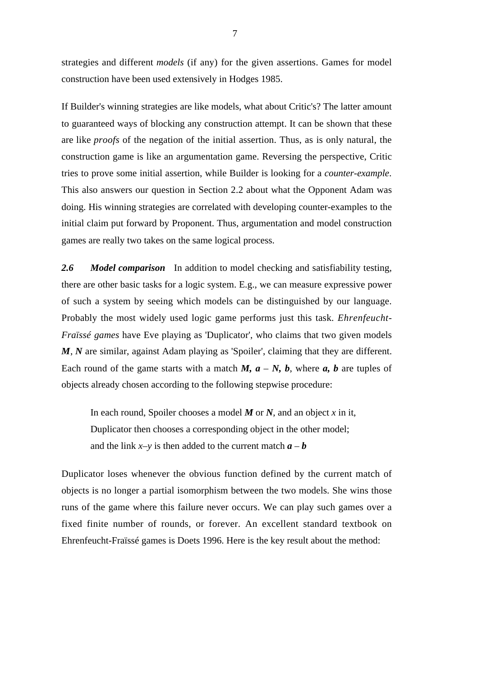strategies and different *models* (if any) for the given assertions. Games for model construction have been used extensively in Hodges 1985.

If Builder's winning strategies are like models, what about Critic's? The latter amount to guaranteed ways of blocking any construction attempt. It can be shown that these are like *proofs* of the negation of the initial assertion. Thus, as is only natural, the construction game is like an argumentation game. Reversing the perspective, Critic tries to prove some initial assertion, while Builder is looking for a *counter-example*. This also answers our question in Section 2.2 about what the Opponent Adam was doing. His winning strategies are correlated with developing counter-examples to the initial claim put forward by Proponent. Thus, argumentation and model construction games are really two takes on the same logical process.

*2.6 Model comparison* In addition to model checking and satisfiability testing, there are other basic tasks for a logic system. E.g., we can measure expressive power of such a system by seeing which models can be distinguished by our language. Probably the most widely used logic game performs just this task. *Ehrenfeucht-Fraïssé games* have Eve playing as 'Duplicator', who claims that two given models *M*, *N* are similar, against Adam playing as 'Spoiler', claiming that they are different. Each round of the game starts with a match  $M$ ,  $a - N$ ,  $b$ , where  $a$ ,  $b$  are tuples of objects already chosen according to the following stepwise procedure:

In each round, Spoiler chooses a model *M* or *N*, and an object *x* in it, Duplicator then chooses a corresponding object in the other model; and the link  $x-y$  is then added to the current match  $a - b$ 

Duplicator loses whenever the obvious function defined by the current match of objects is no longer a partial isomorphism between the two models. She wins those runs of the game where this failure never occurs. We can play such games over a fixed finite number of rounds, or forever. An excellent standard textbook on Ehrenfeucht-Fraïssé games is Doets 1996. Here is the key result about the method: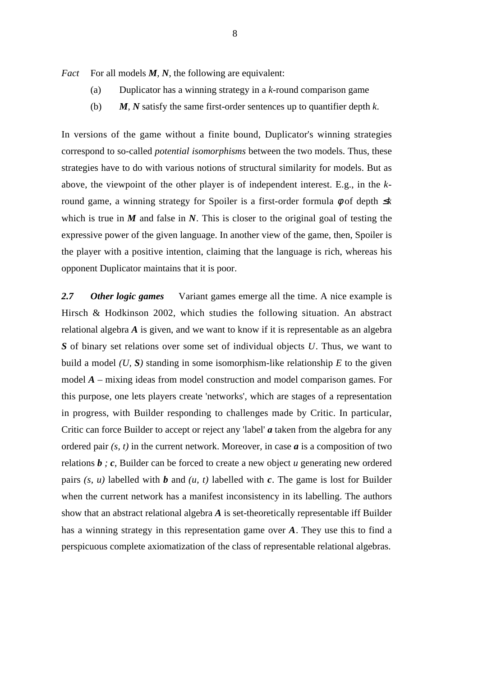*Fact* For all models *M*, *N*, the following are equivalent:

- (a) Duplicator has a winning strategy in a *k*-round comparison game
- (b) *M, N* satisfy the same first-order sentences up to quantifier depth *k*.

In versions of the game without a finite bound, Duplicator's winning strategies correspond to so-called *potential isomorphisms* between the two models. Thus, these strategies have to do with various notions of structural similarity for models. But as above, the viewpoint of the other player is of independent interest. E.g., in the *k*round game, a winning strategy for Spoiler is a first-order formula φ of depth ≤*k* which is true in  $M$  and false in  $N$ . This is closer to the original goal of testing the expressive power of the given language. In another view of the game, then, Spoiler is the player with a positive intention, claiming that the language is rich, whereas his opponent Duplicator maintains that it is poor.

*2.7 Other logic games* Variant games emerge all the time. A nice example is Hirsch & Hodkinson 2002, which studies the following situation. An abstract relational algebra *A* is given, and we want to know if it is representable as an algebra *S* of binary set relations over some set of individual objects *U*. Thus, we want to build a model *(U, S)* standing in some isomorphism-like relationship *E* to the given model *A* – mixing ideas from model construction and model comparison games. For this purpose, one lets players create 'networks', which are stages of a representation in progress, with Builder responding to challenges made by Critic. In particular, Critic can force Builder to accept or reject any 'label' *a* taken from the algebra for any ordered pair *(s, t)* in the current network. Moreover, in case *a* is a composition of two relations *b ; c*, Builder can be forced to create a new object *u* generating new ordered pairs *(s, u)* labelled with *b* and *(u, t)* labelled with *c*. The game is lost for Builder when the current network has a manifest inconsistency in its labelling. The authors show that an abstract relational algebra *A* is set-theoretically representable iff Builder has a winning strategy in this representation game over *A*. They use this to find a perspicuous complete axiomatization of the class of representable relational algebras.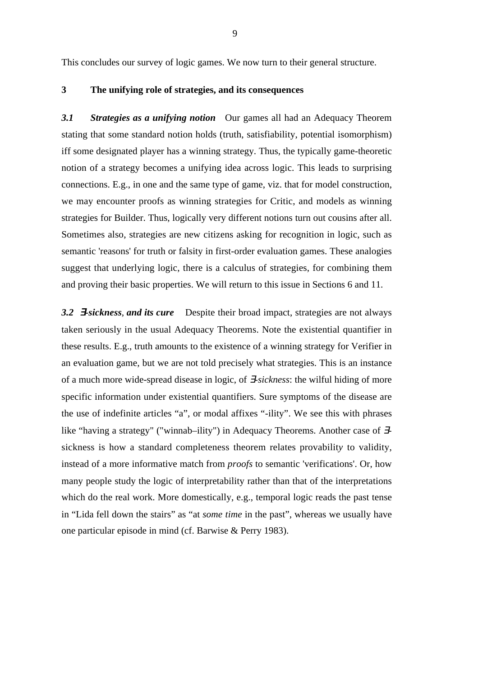This concludes our survey of logic games. We now turn to their general structure.

### **3 The unifying role of strategies, and its consequences**

*3.1 Strategies as a unifying notion* Our games all had an Adequacy Theorem stating that some standard notion holds (truth, satisfiability, potential isomorphism) iff some designated player has a winning strategy. Thus, the typically game-theoretic notion of a strategy becomes a unifying idea across logic. This leads to surprising connections. E.g., in one and the same type of game, viz. that for model construction, we may encounter proofs as winning strategies for Critic, and models as winning strategies for Builder. Thus, logically very different notions turn out cousins after all. Sometimes also, strategies are new citizens asking for recognition in logic, such as semantic 'reasons' for truth or falsity in first-order evaluation games. These analogies suggest that underlying logic, there is a calculus of strategies, for combining them and proving their basic properties. We will return to this issue in Sections 6 and 11.

*3.2* ∃*-sickness*, *and its cure* Despite their broad impact, strategies are not always taken seriously in the usual Adequacy Theorems. Note the existential quantifier in these results. E.g., truth amounts to the existence of a winning strategy for Verifier in an evaluation game, but we are not told precisely what strategies. This is an instance of a much more wide-spread disease in logic, of ∃-*sickness*: the wilful hiding of more specific information under existential quantifiers. Sure symptoms of the disease are the use of indefinite articles "a", or modal affixes "-ility". We see this with phrases like "having a strategy" ("winnab–ility") in Adequacy Theorems. Another case of ∃ sickness is how a standard completeness theorem relates provabilit*y* to validity, instead of a more informative match from *proofs* to semantic 'verifications'. Or, how many people study the logic of interpretability rather than that of the interpretations which do the real work. More domestically, e.g., temporal logic reads the past tense in "Lida fell down the stairs" as "at *some time* in the past", whereas we usually have one particular episode in mind (cf. Barwise & Perry 1983).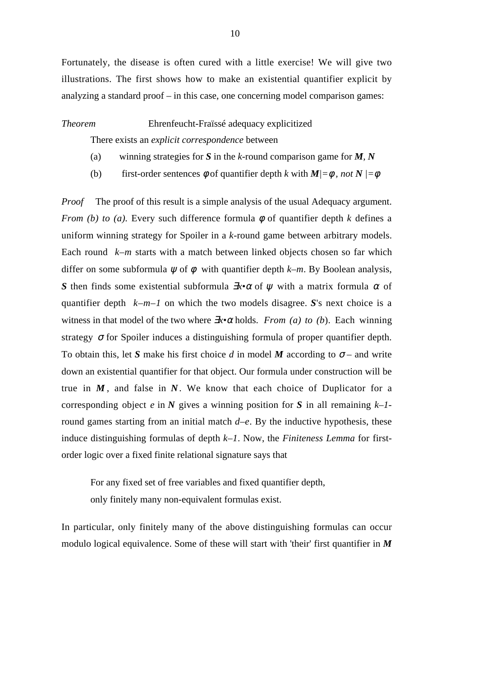Fortunately, the disease is often cured with a little exercise! We will give two illustrations. The first shows how to make an existential quantifier explicit by analyzing a standard proof – in this case, one concerning model comparison games:

*Theorem* Ehrenfeucht-Fraïssé adequacy explicitized

There exists an *explicit correspondence* between

- (a) winning strategies for *S* in the *k*-round comparison game for *M, N*
- (b) first-order sentences  $\phi$  of quantifier depth *k* with  $M = \phi$ , not  $N = \phi$

*Proof* The proof of this result is a simple analysis of the usual Adequacy argument. *From (b) to (a).* Every such difference formula φ of quantifier depth *k* defines a uniform winning strategy for Spoiler in a *k*-round game between arbitrary models. Each round *k–m* starts with a match between linked objects chosen so far which differ on some subformula  $\psi$  of  $\phi$  with quantifier depth  $k-m$ . By Boolean analysis, *S* then finds some existential subformula  $\exists x \cdot \alpha$  of  $\psi$  with a matrix formula  $\alpha$  of quantifier depth *k–m–1* on which the two models disagree. *S*'s next choice is a witness in that model of the two where ∃*x•*α holds. *From (a) to (b*). Each winning strategy  $\sigma$  for Spoiler induces a distinguishing formula of proper quantifier depth. To obtain this, let *S* make his first choice *d* in model *M* according to  $\sigma$  – and write down an existential quantifier for that object. Our formula under construction will be true in *M* , and false in *N*. We know that each choice of Duplicator for a corresponding object *e* in *N* gives a winning position for *S* in all remaining *k–1* round games starting from an initial match *d–e*. By the inductive hypothesis, these induce distinguishing formulas of depth *k–1*. Now, the *Finiteness Lemma* for firstorder logic over a fixed finite relational signature says that

For any fixed set of free variables and fixed quantifier depth, only finitely many non-equivalent formulas exist.

In particular, only finitely many of the above distinguishing formulas can occur modulo logical equivalence. Some of these will start with 'their' first quantifier in *M*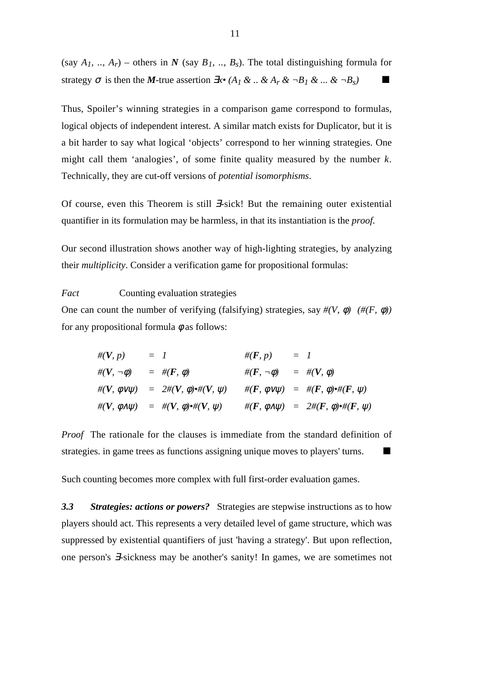(say  $A_I$ , ..,  $A_I$ ) – others in *N* (say  $B_I$ , ..,  $B_S$ ). The total distinguishing formula for strategy  $\sigma$  is then the *M*-true assertion  $\exists x \cdot (A_1 \& \dots \& A_r \& \neg B_1 \& \dots \& \neg B_s)$ 

Thus, Spoiler's winning strategies in a comparison game correspond to formulas, logical objects of independent interest. A similar match exists for Duplicator, but it is a bit harder to say what logical 'objects' correspond to her winning strategies. One might call them 'analogies', of some finite quality measured by the number *k*. Technically, they are cut-off versions of *potential isomorphisms*.

Of course, even this Theorem is still ∃-sick! But the remaining outer existential quantifier in its formulation may be harmless, in that its instantiation is the *proof*.

Our second illustration shows another way of high-lighting strategies, by analyzing their *multiplicity*. Consider a verification game for propositional formulas:

*Fact* Counting evaluation strategies

One can count the number of verifying (falsifying) strategies, say  $\#(V, \phi)$  ( $\#(F, \phi)$ ) for any propositional formula  $\phi$  as follows:

$$
\begin{array}{rcl}\n\#(V, p) & = & 1 \\
\#(V, \neg \phi) & = & \#(F, \phi) \\
\#(V, \neg \phi) & = & \#(F, \phi) \\
\#(V, \phi \lor \psi) & = & 2\#(V, \phi) \ast \#(V, \psi) \\
\#(V, \phi \land \psi) & = & \#(V, \phi) \ast \#(V, \psi) \\
\#(V, \phi \land \psi) & = & \#(V, \phi) \ast \#(V, \psi) \\
\#(F, \phi \land \psi) & = & 2\#(F, \phi) \ast \#(F, \psi)\n\end{array}
$$

*Proof* The rationale for the clauses is immediate from the standard definition of strategies. in game trees as functions assigning unique moves to players' turns.

Such counting becomes more complex with full first-order evaluation games.

*3.3 Strategies: actions or powers?* Strategies are stepwise instructions as to how players should act. This represents a very detailed level of game structure, which was suppressed by existential quantifiers of just 'having a strategy'. But upon reflection, one person's ∃-sickness may be another's sanity! In games, we are sometimes not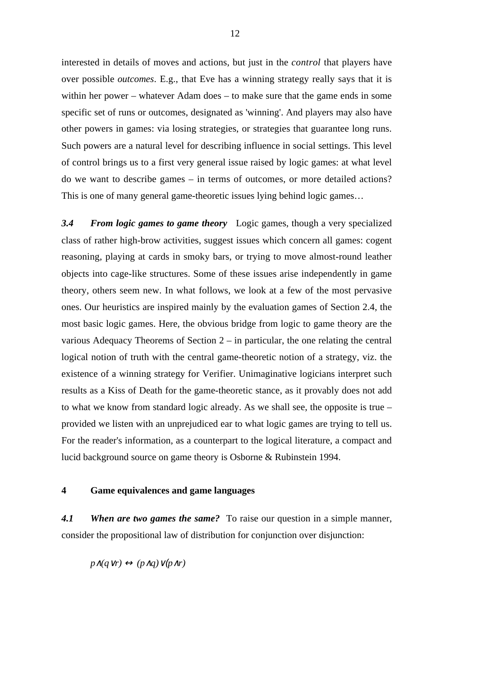interested in details of moves and actions, but just in the *control* that players have over possible *outcomes*. E.g., that Eve has a winning strategy really says that it is within her power – whatever Adam does – to make sure that the game ends in some specific set of runs or outcomes, designated as 'winning'. And players may also have other powers in games: via losing strategies, or strategies that guarantee long runs. Such powers are a natural level for describing influence in social settings. This level of control brings us to a first very general issue raised by logic games: at what level do we want to describe games – in terms of outcomes, or more detailed actions? This is one of many general game-theoretic issues lying behind logic games…

*3.4 From logic games to game theory* Logic games, though a very specialized class of rather high-brow activities, suggest issues which concern all games: cogent reasoning, playing at cards in smoky bars, or trying to move almost-round leather objects into cage-like structures. Some of these issues arise independently in game theory, others seem new. In what follows, we look at a few of the most pervasive ones. Our heuristics are inspired mainly by the evaluation games of Section 2.4, the most basic logic games. Here, the obvious bridge from logic to game theory are the various Adequacy Theorems of Section 2 – in particular, the one relating the central logical notion of truth with the central game-theoretic notion of a strategy, viz. the existence of a winning strategy for Verifier. Unimaginative logicians interpret such results as a Kiss of Death for the game-theoretic stance, as it provably does not add to what we know from standard logic already. As we shall see, the opposite is true – provided we listen with an unprejudiced ear to what logic games are trying to tell us. For the reader's information, as a counterpart to the logical literature, a compact and lucid background source on game theory is Osborne & Rubinstein 1994.

# **4 Game equivalences and game languages**

*4.1 When are two games the same?* To raise our question in a simple manner, consider the propositional law of distribution for conjunction over disjunction:

*p*∧ $(q \vee r)$   $\leftrightarrow$   $(p \wedge q) \vee (p \wedge r)$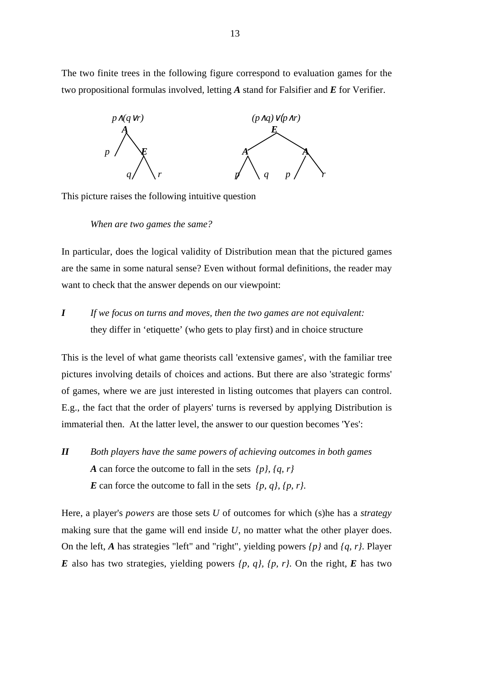The two finite trees in the following figure correspond to evaluation games for the two propositional formulas involved*,* letting *A* stand for Falsifier and *E* for Verifier.



This picture raises the following intuitive question

*When are two games the same?*

In particular, does the logical validity of Distribution mean that the pictured games are the same in some natural sense? Even without formal definitions, the reader may want to check that the answer depends on our viewpoint:

*I If we focus on turns and moves, then the two games are not equivalent:* they differ in 'etiquette' (who gets to play first) and in choice structure

This is the level of what game theorists call 'extensive games', with the familiar tree pictures involving details of choices and actions. But there are also 'strategic forms' of games, where we are just interested in listing outcomes that players can control. E.g., the fact that the order of players' turns is reversed by applying Distribution is immaterial then. At the latter level, the answer to our question becomes 'Yes':

*II Both players have the same powers of achieving outcomes in both games A* can force the outcome to fall in the sets *{p}, {q, r} E* can force the outcome to fall in the sets  $\{p, q\}$ ,  $\{p, r\}$ .

Here, a player's *powers* are those sets *U* of outcomes for which (s)he has a *strategy* making sure that the game will end inside *U*, no matter what the other player does. On the left, *A* has strategies "left" and "right", yielding powers *{p}* and *{q, r}*. Player  $E$  also has two strategies, yielding powers  $\{p, q\}$ ,  $\{p, r\}$ . On the right,  $E$  has two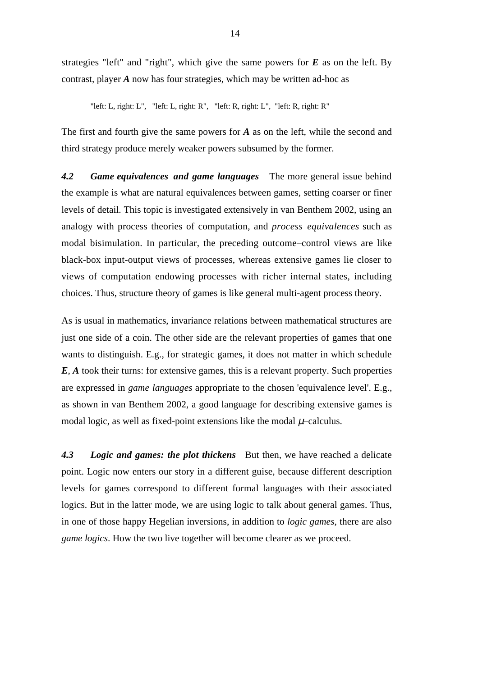strategies "left" and "right", which give the same powers for *E* as on the left. By contrast, player *A* now has four strategies, which may be written ad-hoc as

"left: L, right: L", "left: L, right: R", "left: R, right: L", "left: R, right: R"

The first and fourth give the same powers for *A* as on the left, while the second and third strategy produce merely weaker powers subsumed by the former.

*4.2 Game equivalences and game languages* The more general issue behind the example is what are natural equivalences between games, setting coarser or finer levels of detail. This topic is investigated extensively in van Benthem 2002, using an analogy with process theories of computation, and *process equivalences* such as modal bisimulation. In particular, the preceding outcome–control views are like black-box input-output views of processes, whereas extensive games lie closer to views of computation endowing processes with richer internal states, including choices. Thus, structure theory of games is like general multi-agent process theory.

As is usual in mathematics, invariance relations between mathematical structures are just one side of a coin. The other side are the relevant properties of games that one wants to distinguish. E.g., for strategic games, it does not matter in which schedule *E*, *A* took their turns: for extensive games, this is a relevant property. Such properties are expressed in *game languages* appropriate to the chosen 'equivalence level'. E.g., as shown in van Benthem 2002, a good language for describing extensive games is modal logic, as well as fixed-point extensions like the modal  $\mu$ –calculus.

*4.3 Logic and games: the plot thickens* But then, we have reached a delicate point. Logic now enters our story in a different guise, because different description levels for games correspond to different formal languages with their associated logics. But in the latter mode, we are using logic to talk about general games. Thus, in one of those happy Hegelian inversions, in addition to *logic games*, there are also *game logics*. How the two live together will become clearer as we proceed.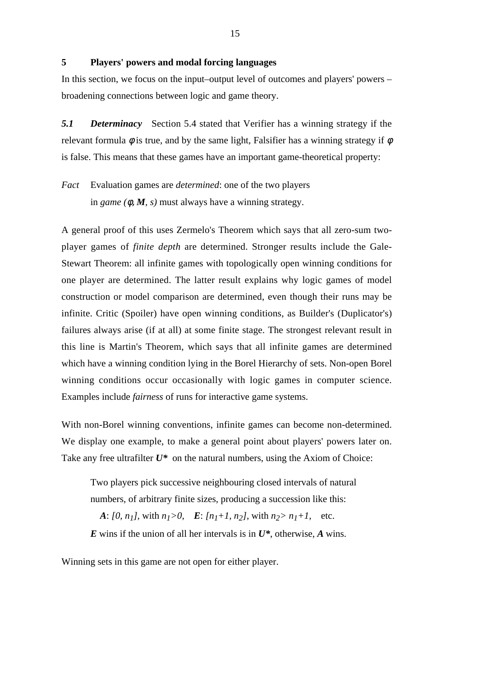## **5 Players' powers and modal forcing languages**

In this section, we focus on the input–output level of outcomes and players' powers – broadening connections between logic and game theory.

*5.1 Determinacy* Section 5.4 stated that Verifier has a winning strategy if the relevant formula  $\phi$  is true, and by the same light, Falsifier has a winning strategy if  $\phi$ is false. This means that these games have an important game-theoretical property:

*Fact* Evaluation games are *determined*: one of the two players in *game* ( $\phi$ ,  $M$ ,  $s$ ) must always have a winning strategy.

A general proof of this uses Zermelo's Theorem which says that all zero-sum twoplayer games of *finite depth* are determined. Stronger results include the Gale-Stewart Theorem: all infinite games with topologically open winning conditions for one player are determined. The latter result explains why logic games of model construction or model comparison are determined, even though their runs may be infinite. Critic (Spoiler) have open winning conditions, as Builder's (Duplicator's) failures always arise (if at all) at some finite stage. The strongest relevant result in this line is Martin's Theorem, which says that all infinite games are determined which have a winning condition lying in the Borel Hierarchy of sets. Non-open Borel winning conditions occur occasionally with logic games in computer science. Examples include *fairness* of runs for interactive game systems.

With non-Borel winning conventions, infinite games can become non-determined. We display one example, to make a general point about players' powers later on. Take any free ultrafilter  $U^*$  on the natural numbers, using the Axiom of Choice:

Two players pick successive neighbouring closed intervals of natural numbers, of arbitrary finite sizes, producing a succession like this: *A*:  $[0, n_1]$ , with  $n_1 > 0$ ,  $E: [n_1 + 1, n_2]$ , with  $n_2 > n_1 + 1$ , etc. *E* wins if the union of all her intervals is in *U\**, otherwise, *A* wins.

Winning sets in this game are not open for either player.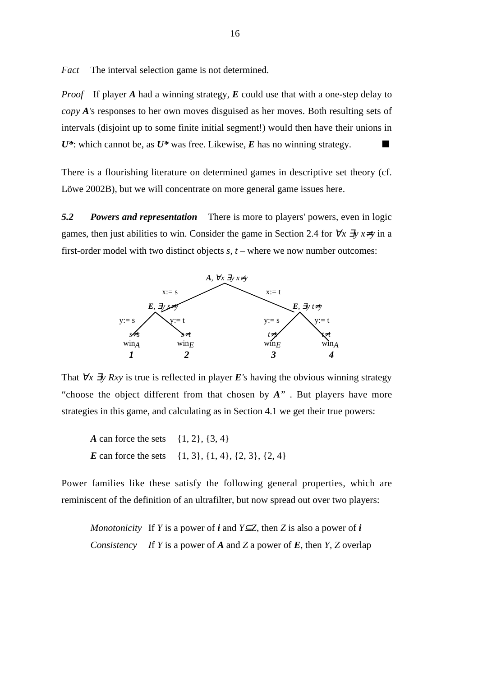*Fact* The interval selection game is not determined.

*Proof* If player *A* had a winning strategy, *E* could use that with a one-step delay to *copy A*'s responses to her own moves disguised as her moves. Both resulting sets of intervals (disjoint up to some finite initial segment!) would then have their unions in  $U^*$ : which cannot be, as  $U^*$  was free. Likewise, *E* has no winning strategy.

There is a flourishing literature on determined games in descriptive set theory (cf. Löwe 2002B), but we will concentrate on more general game issues here.

*5.2 Powers and representation* There is more to players' powers, even in logic games, then just abilities to win. Consider the game in Section 2.4 for  $\forall x \exists y \ x \neq y$  in a first-order model with two distinct objects *s, t –* where we now number outcomes:



That  $\forall x \exists y Rxy$  is true is reflected in player *E*'s having the obvious winning strategy "choose the object different from that chosen by *A*" . But players have more strategies in this game, and calculating as in Section 4.1 we get their true powers:

*A* can force the sets {1, 2}, {3, 4} *E* can force the sets  $\{1, 3\}, \{1, 4\}, \{2, 3\}, \{2, 4\}$ 

Power families like these satisfy the following general properties, which are reminiscent of the definition of an ultrafilter, but now spread out over two players:

*Monotonicity* If *Y* is a power of *i* and *Y*⊆*Z*, then *Z* is also a power of *i Consistency I*f *Y* is a power of *A* and *Z* a power of *E*, then *Y, Z* overlap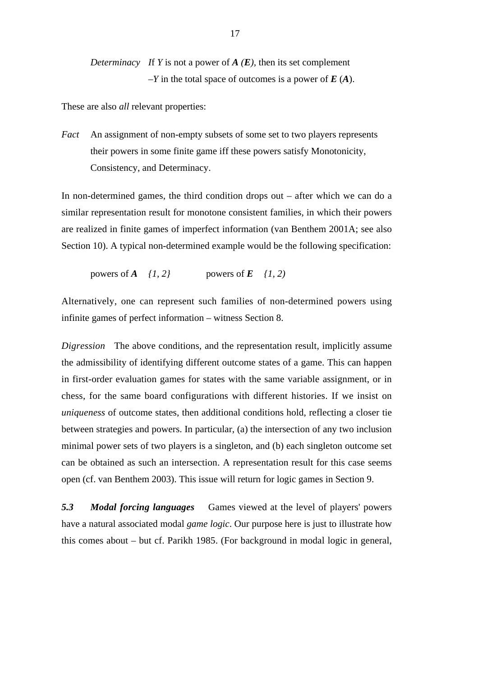*Determinacy I*f *Y* is not a power of *A (E),* then its set complement *–Y* in the total space of outcomes is a power of *E* (*A*).

These are also *all* relevant properties:

*Fact* An assignment of non-empty subsets of some set to two players represents their powers in some finite game iff these powers satisfy Monotonicity, Consistency, and Determinacy.

In non-determined games, the third condition drops out – after which we can do a similar representation result for monotone consistent families, in which their powers are realized in finite games of imperfect information (van Benthem 2001A; see also Section 10). A typical non-determined example would be the following specification:

powers of 
$$
A
$$
  $\{1, 2\}$  powers of  $E$   $\{1, 2\}$ 

Alternatively, one can represent such families of non-determined powers using infinite games of perfect information – witness Section 8.

*Digression* The above conditions, and the representation result, implicitly assume the admissibility of identifying different outcome states of a game. This can happen in first-order evaluation games for states with the same variable assignment, or in chess, for the same board configurations with different histories. If we insist on *uniqueness* of outcome states, then additional conditions hold, reflecting a closer tie between strategies and powers. In particular, (a) the intersection of any two inclusion minimal power sets of two players is a singleton, and (b) each singleton outcome set can be obtained as such an intersection. A representation result for this case seems open (cf. van Benthem 2003). This issue will return for logic games in Section 9.

*5.3 Modal forcing languages* Games viewed at the level of players' powers have a natural associated modal *game logic*. Our purpose here is just to illustrate how this comes about – but cf. Parikh 1985. (For background in modal logic in general,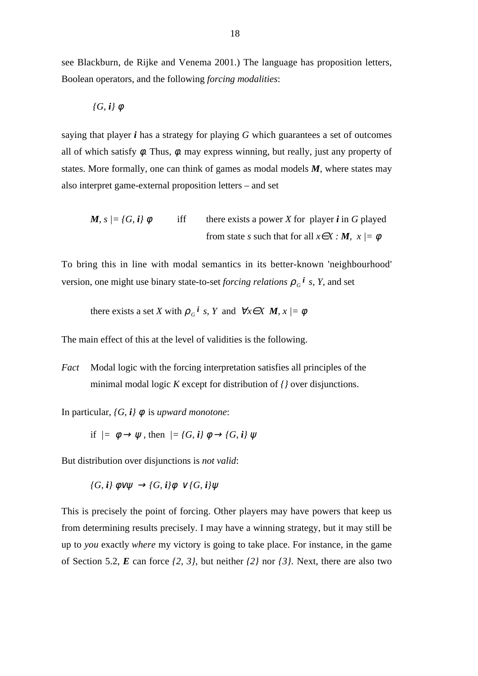see Blackburn, de Rijke and Venema 2001.) The language has proposition letters, Boolean operators, and the following *forcing modalities*:

$$
\{G, i\} \phi
$$

saying that player *i* has a strategy for playing *G* which guarantees a set of outcomes all of which satisfy  $\phi$ . Thus,  $\phi$ . may express winning, but really, just any property of states. More formally, one can think of games as modal models *M*, where states may also interpret game-external proposition letters – and set

*M, s*  $\vert = \{G, i\} \phi$  iff there exists a power *X* for player *i* in *G* played from state *s* such that for all  $x \in X : M$ ,  $x \models \phi$ 

To bring this in line with modal semantics in its better-known 'neighbourhood' version, one might use binary state-to-set *forcing relations*  $\rho_G$ <sup>*i*</sup> *s*, *Y*, and set

there exists a set *X* with  $\rho_G$ <sup>*i*</sup> *s*, *Y* and  $\forall x \in X$  *M*,  $x \models \phi$ 

The main effect of this at the level of validities is the following.

*Fact* Modal logic with the forcing interpretation satisfies all principles of the minimal modal logic *K* except for distribution of *{}* over disjunctions.

In particular,  $\{G, i\}$   $\phi$  is *upward monotone*:

if  $\ell = \phi \rightarrow \psi$ , then  $\ell = \{G, i\} \phi \rightarrow \{G, i\} \psi$ 

But distribution over disjunctions is *not valid*:

*{G, i}* φ∨ψ → *{G, i}*φ ∨ *{G, i}*ψ

This is precisely the point of forcing. Other players may have powers that keep us from determining results precisely. I may have a winning strategy, but it may still be up to *you* exactly *where* my victory is going to take place. For instance, in the game of Section 5.2, *E* can force *{2, 3},* but neither *{2}* nor *{3}.* Next, there are also two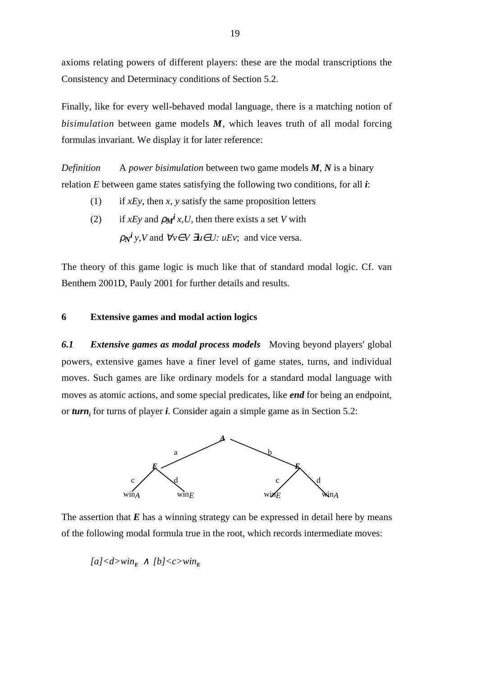axioms relating powers of different players: these are the modal transcriptions the Consistency and Determinacy conditions of Section 5.2.

Finally, like for every well-behaved modal language, there is a matching notion of *bisimulation* between game models *M*, which leaves truth of all modal forcing formulas invariant. We display it for later reference:

*Definition* A *power bisimulation* between two game models *M*, *N* is a binary relation *E* between game states satisfying the following two conditions, for all *i*:

- (1) if *xEy*, then *x, y* satisfy the same proposition letters
- (2) if *xEy* and  $\rho_M i x, U$ , then there exists a set *V* with

 $\rho_N^i y$ , V and  $\forall v \in V$  ∃*u*∈*U: uEv*; and vice versa.

The theory of this game logic is much like that of standard modal logic. Cf. van Benthem 2001D, Pauly 2001 for further details and results.

#### **6 Extensive games and modal action logics**

*6.1 Extensive games as modal process models* Moving beyond players' global powers, extensive games have a finer level of game states, turns, and individual moves. Such games are like ordinary models for a standard modal language with moves as atomic actions, and some special predicates, like *end* for being an endpoint, or *turn<sup>i</sup>* for turns of player *i*. Consider again a simple game as in Section 5.2:



The assertion that *E* has a winning strategy can be expressed in detail here by means of the following modal formula true in the root, which records intermediate moves:

 $[a]<sub>dx</sub> \wedge [b]<sub>dx</sub>$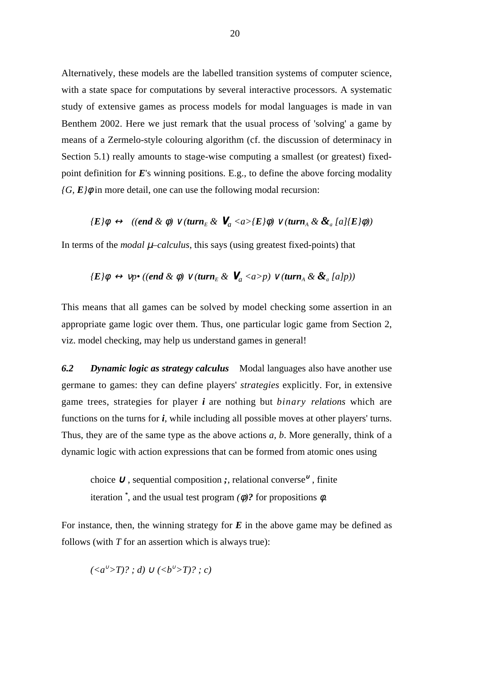Alternatively, these models are the labelled transition systems of computer science, with a state space for computations by several interactive processors. A systematic study of extensive games as process models for modal languages is made in van Benthem 2002. Here we just remark that the usual process of 'solving' a game by means of a Zermelo-style colouring algorithm (cf. the discussion of determinacy in Section 5.1) really amounts to stage-wise computing a smallest (or greatest) fixedpoint definition for *E*'s winning positions. E.g., to define the above forcing modality  $\overline{G}$ ,  $\overline{E}$ *{* $\phi$  in more detail, one can use the following modal recursion:

$$
\langle E/\phi \leftrightarrow ((end \& \phi) \vee (turn_E \& \mathbf{V}_a \langle a \rangle \langle E/\phi) \vee (turn_A \& \& \mathbf{I}_a/\langle E/\phi \rangle)
$$

In terms of the *modal*  $\mu$ –*calculus*, this says (using greatest fixed-points) that

$$
\mathcal{E}\}\phi \leftrightarrow \mathsf{vp}^\bullet\ ((\mathit{end} \& \phi) \vee (\mathit{turn}_E \& \mathbf{V}_a \langle a > p) \vee (\mathit{turn}_A \& \& \mathbf{I}_a[p))
$$

This means that all games can be solved by model checking some assertion in an appropriate game logic over them. Thus, one particular logic game from Section 2, viz. model checking, may help us understand games in general!

*6.2 Dynamic logic as strategy calculus* Modal languages also have another use germane to games: they can define players' *strategies* explicitly. For, in extensive game trees, strategies for player *i* are nothing but *binary relations* which are functions on the turns for *i*, while including all possible moves at other players' turns. Thus, they are of the same type as the above actions *a, b*. More generally, think of a dynamic logic with action expressions that can be formed from atomic ones using

choice <sup>∪</sup> , sequential composition *;*, relational converse<sup>∪</sup> , finite iteration *\** , and the usual test program *(*φ*)?* for propositions φ.

For instance, then, the winning strategy for  $E$  in the above game may be defined as follows (with *T* for an assertion which is always true):

$$
(\langle a^{\vee} \rangle T)? ; d) \cup (\langle b^{\vee} \rangle T)? ; c)
$$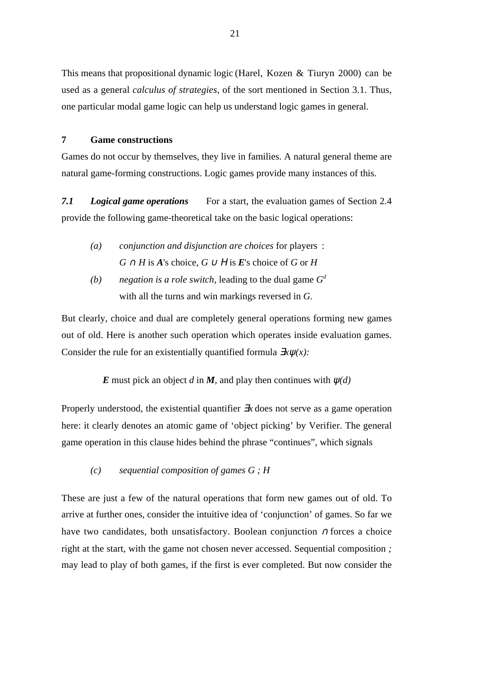This means that propositional dynamic logic (Harel, Kozen & Tiuryn 2000) can be used as a general *calculus of strategies*, of the sort mentioned in Section 3.1. Thus, one particular modal game logic can help us understand logic games in general.

### **7 Game constructions**

Games do not occur by themselves, they live in families. A natural general theme are natural game-forming constructions. Logic games provide many instances of this.

*7.1 Logical game operations* For a start, the evaluation games of Section 2.4 provide the following game-theoretical take on the basic logical operations:

- *(a) conjunction and disjunction are choices* for players :  $G \cap H$  is *A*'s choice,  $G \cup H$  is *E*'s choice of *G* or *H*
- *(b) negation is a role switch*, leading to the dual game *G<sup>d</sup>* with all the turns and win markings reversed in *G*.

But clearly, choice and dual are completely general operations forming new games out of old. Here is another such operation which operates inside evaluation games. Consider the rule for an existentially quantified formula ∃*x*ψ*(x):*

*E* must pick an object *d* in *M*, and play then continues with  $\psi(d)$ 

Properly understood, the existential quantifier ∃*x* does not serve as a game operation here: it clearly denotes an atomic game of 'object picking' by Verifier. The general game operation in this clause hides behind the phrase "continues", which signals

*(c) sequential composition of games G ; H*

These are just a few of the natural operations that form new games out of old. To arrive at further ones, consider the intuitive idea of 'conjunction' of games. So far we have two candidates, both unsatisfactory. Boolean conjunction <sup>∩</sup> forces a choice right at the start, with the game not chosen never accessed. Sequential composition *;* may lead to play of both games, if the first is ever completed. But now consider the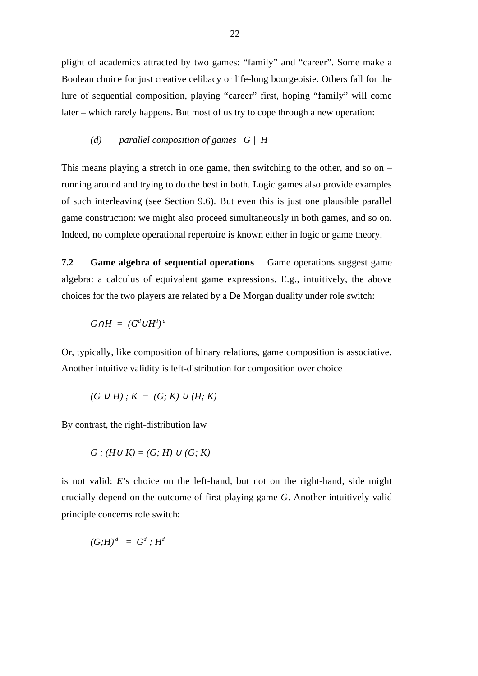plight of academics attracted by two games: "family" and "career". Some make a Boolean choice for just creative celibacy or life-long bourgeoisie. Others fall for the lure of sequential composition, playing "career" first, hoping "family" will come later – which rarely happens. But most of us try to cope through a new operation:

# *(d) parallel composition of games G || H*

This means playing a stretch in one game, then switching to the other, and so on – running around and trying to do the best in both. Logic games also provide examples of such interleaving (see Section 9.6). But even this is just one plausible parallel game construction: we might also proceed simultaneously in both games, and so on. Indeed, no complete operational repertoire is known either in logic or game theory.

**7.2 Game algebra of sequential operations** Game operations suggest game algebra: a calculus of equivalent game expressions. E.g., intuitively, the above choices for the two players are related by a De Morgan duality under role switch:

$$
G \cap H = (G^d \cup H^d)^d
$$

Or, typically, like composition of binary relations, game composition is associative. Another intuitive validity is left-distribution for composition over choice

$$
(G \cup H) ; K = (G; K) \cup (H; K)
$$

By contrast, the right-distribution law

$$
G: (H \cup K) = (G; H) \cup (G; K)
$$

is not valid: *E*'s choice on the left-hand, but not on the right-hand, side might crucially depend on the outcome of first playing game *G*. Another intuitively valid principle concerns role switch:

$$
(G;H)^d = G^d ; H^d
$$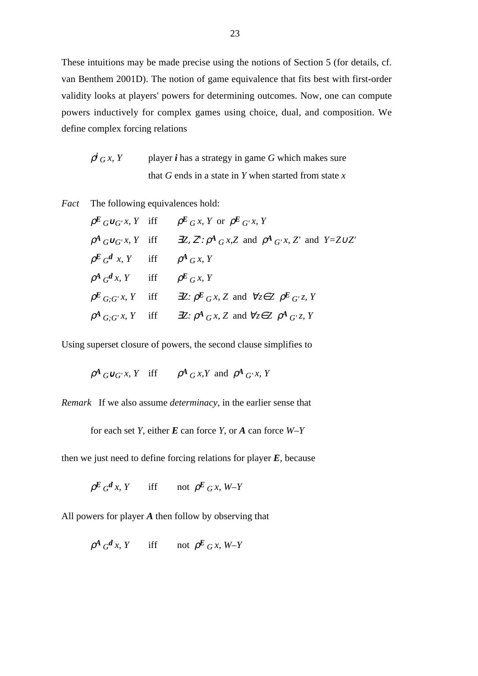These intuitions may be made precise using the notions of Section 5 (for details, cf. van Benthem 2001D). The notion of game equivalence that fits best with first-order validity looks at players' powers for determining outcomes. Now, one can compute powers inductively for complex games using choice, dual, and composition. We define complex forcing relations

$$
\rho^{i}{}_{G} x, Y
$$
 player *i* has a strategy in game *G* which makes sure that *G* ends in a state in *Y* when started from state *x*

*Fact* The following equivalences hold:

$$
\rho^{E}{}_{G}\cup_{G'} x, Y \text{ iff } \rho^{E}{}_{G} x, Y \text{ or } \rho^{E}{}_{G'} x, Y
$$
  
\n
$$
\rho^{A}{}_{G}\cup_{G'} x, Y \text{ iff } \exists Z, Z'; \rho^{A}{}_{G} x, Z \text{ and } \rho^{A}{}_{G'} x, Z' \text{ and } Y = Z \cup Z'
$$
  
\n
$$
\rho^{E}{}_{G} d x, Y \text{ iff } \rho^{A}{}_{G} x, Y
$$
  
\n
$$
\rho^{A}{}_{G} d x, Y \text{ iff } \rho^{E}{}_{G} x, Y
$$
  
\n
$$
\rho^{E}{}_{G;G'} x, Y \text{ iff } \exists Z: \rho^{E}{}_{G} x, Z \text{ and } \forall z \in Z \rho^{E}{}_{G'} z, Y
$$
  
\n
$$
\rho^{A}{}_{G;G'} x, Y \text{ iff } \exists Z: \rho^{A}{}_{G} x, Z \text{ and } \forall z \in Z \rho^{A}{}_{G'} z, Y
$$

Using superset closure of powers, the second clause simplifies to

$$
\rho^A G \cup G' x, Y \quad \text{iff} \qquad \rho^A G x, Y \text{ and } \rho^A G' x, Y
$$

*Remark* If we also assume *determinacy*, in the earlier sense that

for each set *Y*, either *E* can force *Y*, or *A* can force *W–Y*

then we just need to define forcing relations for player *E*, because

$$
\rho^E G^d x, Y \quad \text{iff} \quad \text{not } \rho^E G x, W-Y
$$

All powers for player *A* then follow by observing that

 $\rho^A G^d x$ , *Y* iff not  $\rho^E G x$ , *W–Y*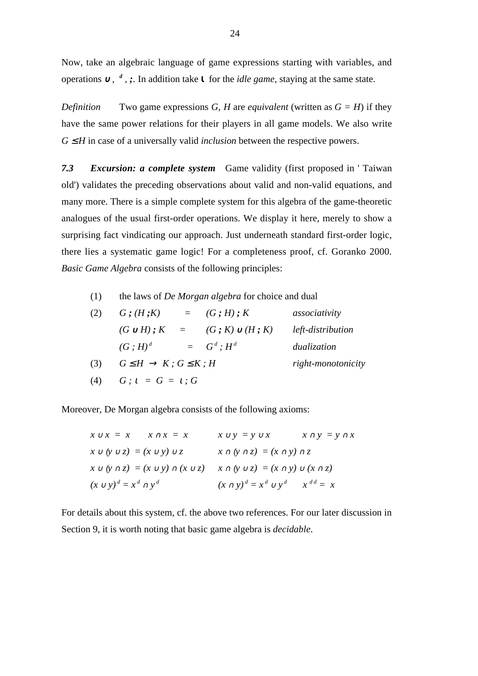Now, take an algebraic language of game expressions starting with variables, and operations ∪, <sup>d</sup>, ;. In addition take **ι** for the *idle game*, staying at the same state.

*Definition* Two game expressions *G, H* are *equivalent* (written as  $G = H$ ) if they have the same power relations for their players in all game models. We also write  $G \leq H$  in case of a universally valid *inclusion* between the respective powers.

*7.3 Excursion: a complete system* Game validity (first proposed in ' Taiwan old') validates the preceding observations about valid and non-valid equations, and many more. There is a simple complete system for this algebra of the game-theoretic analogues of the usual first-order operations. We display it here, merely to show a surprising fact vindicating our approach. Just underneath standard first-order logic, there lies a systematic game logic! For a completeness proof, cf. Goranko 2000. *Basic Game Algebra* consists of the following principles:

(1) the laws of *De Morgan algebra* for choice and dual

| (2) | $G$ ; $(H, K)$                              |  | $=$ $(G; H); K$      | associativity     |
|-----|---------------------------------------------|--|----------------------|-------------------|
|     | $(G \cup H); K =$                           |  | $(G; K) \cup (H; K)$ | left-distribution |
|     | $(G: H)^d$                                  |  | $= G^d$ ; $H^d$      | dualization       |
| (3) | $G \leq H \rightarrow K$ ; $G \leq K$ ; $H$ |  | right-monotonicity   |                   |
| (4) | $G: i = G = i: G$                           |  |                      |                   |

Moreover, De Morgan algebra consists of the following axioms:

| $x \cup x = x$ $x \cap x = x$           | $x \cap y = y \cap x$<br>$x \cup y = y \cup x$                                                    |
|-----------------------------------------|---------------------------------------------------------------------------------------------------|
| $x \cup (y \cup z) = (x \cup y) \cup z$ | $x \cap (y \cap z) = (x \cap y) \cap z$                                                           |
|                                         | $x \cup (y \cap z) = (x \cup y) \cap (x \cup z)$ $x \cap (y \cup z) = (x \cap y) \cup (x \cap z)$ |
| $(x \cup y)^d = x^d \cap y^d$           | $(x \cap y)^d = x^d \cup y^d$ $x^{dd} = x$                                                        |

For details about this system, cf. the above two references. For our later discussion in Section 9, it is worth noting that basic game algebra is *decidable*.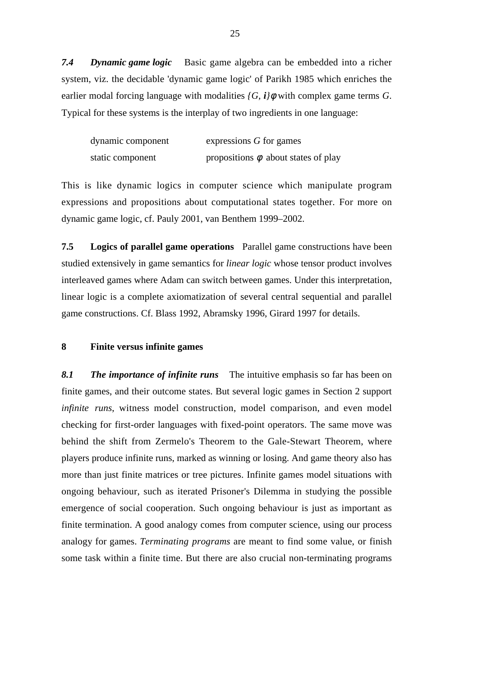*7.4 Dynamic game logic* Basic game algebra can be embedded into a richer system, viz. the decidable 'dynamic game logic' of Parikh 1985 which enriches the earlier modal forcing language with modalities  $\overline{G}$ ,  $\overline{i}/\phi$  with complex game terms  $\overline{G}$ . Typical for these systems is the interplay of two ingredients in one language:

| dynamic component | expressions G for games                  |
|-------------------|------------------------------------------|
| static component  | propositions $\phi$ about states of play |

This is like dynamic logics in computer science which manipulate program expressions and propositions about computational states together. For more on dynamic game logic, cf. Pauly 2001, van Benthem 1999–2002.

**7.5 Logics of parallel game operations** Parallel game constructions have been studied extensively in game semantics for *linear logic* whose tensor product involves interleaved games where Adam can switch between games. Under this interpretation, linear logic is a complete axiomatization of several central sequential and parallel game constructions. Cf. Blass 1992, Abramsky 1996, Girard 1997 for details.

### **8 Finite versus infinite games**

*8.1 The importance of infinite runs* The intuitive emphasis so far has been on finite games, and their outcome states. But several logic games in Section 2 support *infinite runs*, witness model construction, model comparison, and even model checking for first-order languages with fixed-point operators. The same move was behind the shift from Zermelo's Theorem to the Gale-Stewart Theorem, where players produce infinite runs, marked as winning or losing. And game theory also has more than just finite matrices or tree pictures. Infinite games model situations with ongoing behaviour, such as iterated Prisoner's Dilemma in studying the possible emergence of social cooperation. Such ongoing behaviour is just as important as finite termination. A good analogy comes from computer science, using our process analogy for games. *Terminating programs* are meant to find some value, or finish some task within a finite time. But there are also crucial non-terminating programs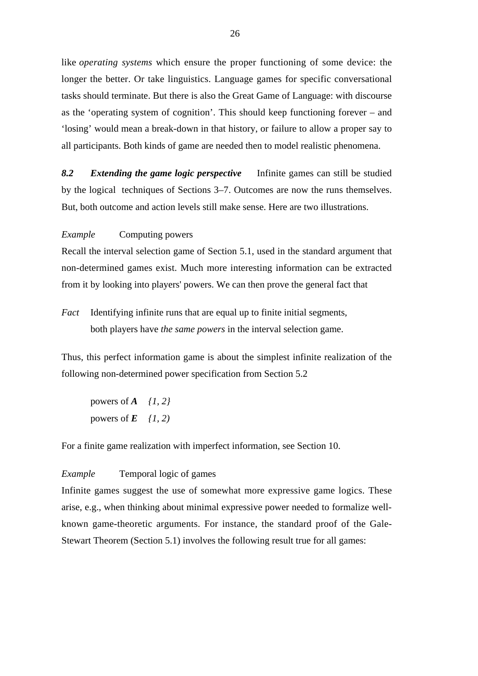like *operating systems* which ensure the proper functioning of some device: the longer the better. Or take linguistics. Language games for specific conversational tasks should terminate. But there is also the Great Game of Language: with discourse as the 'operating system of cognition'. This should keep functioning forever – and 'losing' would mean a break-down in that history, or failure to allow a proper say to all participants. Both kinds of game are needed then to model realistic phenomena.

*8.2 Extending the game logic perspective* Infinite games can still be studied by the logical techniques of Sections 3–7. Outcomes are now the runs themselves. But, both outcome and action levels still make sense. Here are two illustrations.

*Example* Computing powers

Recall the interval selection game of Section 5.1, used in the standard argument that non-determined games exist. Much more interesting information can be extracted from it by looking into players' powers. We can then prove the general fact that

*Fact* Identifying infinite runs that are equal up to finite initial segments, both players have *the same powers* in the interval selection game.

Thus, this perfect information game is about the simplest infinite realization of the following non-determined power specification from Section 5.2

powers of *A {1, 2}* powers of  $E$   $(1, 2)$ 

For a finite game realization with imperfect information, see Section 10.

### *Example* Temporal logic of games

Infinite games suggest the use of somewhat more expressive game logics. These arise, e.g., when thinking about minimal expressive power needed to formalize wellknown game-theoretic arguments. For instance, the standard proof of the Gale-Stewart Theorem (Section 5.1) involves the following result true for all games: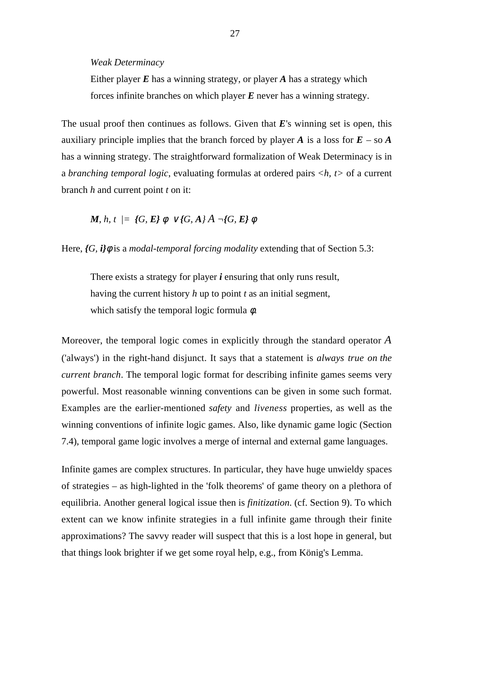*Weak Determinacy*

Either player *E* has a winning strategy, or player *A* has a strategy which forces infinite branches on which player *E* never has a winning strategy.

The usual proof then continues as follows. Given that *E*'s winning set is open, this auxiliary principle implies that the branch forced by player *A* is a loss for  $E - \text{so } A$ has a winning strategy. The straightforward formalization of Weak Determinacy is in a *branching temporal logic*, evaluating formulas at ordered pairs *<h, t>* of a current branch *h* and current point *t* on it:

*M, h, t | = {G, E}*  $\phi \lor$ *{G,*  $A$ *}*  $\overline{A} \neg$ *{G, E}*  $\phi$ 

Here,  ${G, i}$  *i*)  $\phi$  is a *modal-temporal forcing modality* extending that of Section 5.3:

There exists a strategy for player *i* ensuring that only runs result, having the current history *h* up to point *t* as an initial segment, which satisfy the temporal logic formula  $\phi$ .

Moreover, the temporal logic comes in explicitly through the standard operator *A* ('always') in the right-hand disjunct. It says that a statement is *always true on the current branch*. The temporal logic format for describing infinite games seems very powerful. Most reasonable winning conventions can be given in some such format. Examples are the earlier-mentioned *safety* and *liveness* properties, as well as the winning conventions of infinite logic games. Also, like dynamic game logic (Section 7.4), temporal game logic involves a merge of internal and external game languages.

Infinite games are complex structures. In particular, they have huge unwieldy spaces of strategies – as high-lighted in the 'folk theorems' of game theory on a plethora of equilibria. Another general logical issue then is *finitization*. (cf. Section 9). To which extent can we know infinite strategies in a full infinite game through their finite approximations? The savvy reader will suspect that this is a lost hope in general, but that things look brighter if we get some royal help, e.g., from König's Lemma.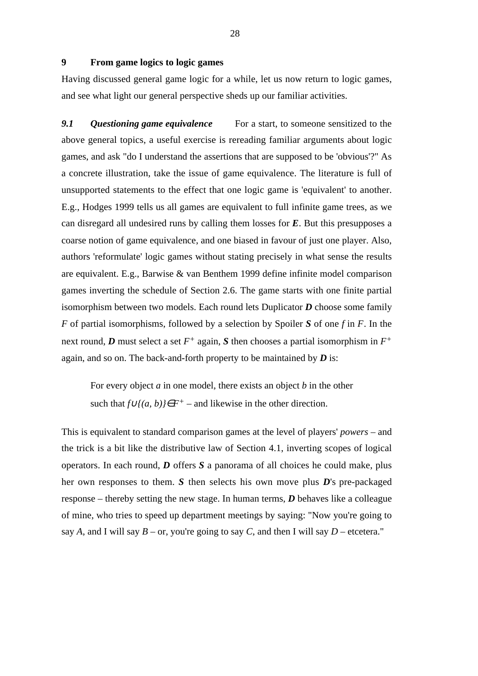### **9 From game logics to logic games**

Having discussed general game logic for a while, let us now return to logic games, and see what light our general perspective sheds up our familiar activities.

*9.1 Questioning game equivalence* For a start, to someone sensitized to the above general topics, a useful exercise is rereading familiar arguments about logic games, and ask "do I understand the assertions that are supposed to be 'obvious'?" As a concrete illustration, take the issue of game equivalence. The literature is full of unsupported statements to the effect that one logic game is 'equivalent' to another. E.g., Hodges 1999 tells us all games are equivalent to full infinite game trees, as we can disregard all undesired runs by calling them losses for *E*. But this presupposes a coarse notion of game equivalence, and one biased in favour of just one player. Also, authors 'reformulate' logic games without stating precisely in what sense the results are equivalent. E.g., Barwise & van Benthem 1999 define infinite model comparison games inverting the schedule of Section 2.6. The game starts with one finite partial isomorphism between two models. Each round lets Duplicator *D* choose some family *F* of partial isomorphisms, followed by a selection by Spoiler *S* of one *f* in *F*. In the next round, *D* must select a set  $F^+$  again, *S* then chooses a partial isomorphism in  $F^+$ again, and so on. The back-and-forth property to be maintained by *D* is:

For every object *a* in one model, there exists an object *b* in the other such that  $f\bigcup(a, b)$  $\in$  $F$ <sup>+</sup> – and likewise in the other direction.

This is equivalent to standard comparison games at the level of players' *powers* – and the trick is a bit like the distributive law of Section 4.1, inverting scopes of logical operators. In each round, *D* offers *S* a panorama of all choices he could make, plus her own responses to them. *S* then selects his own move plus *D*'s pre-packaged response – thereby setting the new stage. In human terms, *D* behaves like a colleague of mine, who tries to speed up department meetings by saying: "Now you're going to say *A*, and I will say  $B$  – or, you're going to say *C*, and then I will say  $D$  – etcetera."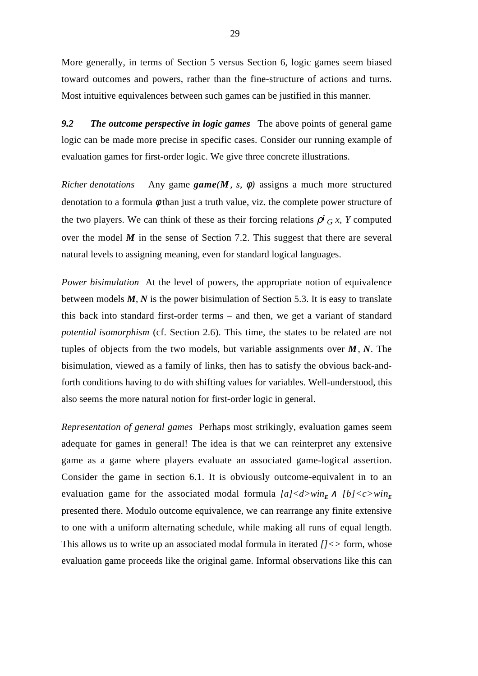More generally, in terms of Section 5 versus Section 6, logic games seem biased toward outcomes and powers, rather than the fine-structure of actions and turns. Most intuitive equivalences between such games can be justified in this manner.

*9.2 The outcome perspective in logic games*The above points of general game logic can be made more precise in specific cases. Consider our running example of evaluation games for first-order logic. We give three concrete illustrations.

*Richer denotations* Any game  $\text{game}(M, s, \phi)$  assigns a much more structured denotation to a formula  $\phi$  than just a truth value, viz. the complete power structure of the two players. We can think of these as their forcing relations  $\rho^{i}$  *G x*, *Y* computed over the model *M* in the sense of Section 7.2. This suggest that there are several natural levels to assigning meaning, even for standard logical languages.

*Power bisimulation* At the level of powers, the appropriate notion of equivalence between models *M*, *N* is the power bisimulation of Section 5.3. It is easy to translate this back into standard first-order terms – and then, we get a variant of standard *potential isomorphism* (cf. Section 2.6). This time, the states to be related are not tuples of objects from the two models, but variable assignments over *M*, *N*. The bisimulation, viewed as a family of links, then has to satisfy the obvious back-andforth conditions having to do with shifting values for variables. Well-understood, this also seems the more natural notion for first-order logic in general.

*Representation of general games* Perhaps most strikingly, evaluation games seem adequate for games in general! The idea is that we can reinterpret any extensive game as a game where players evaluate an associated game-logical assertion. Consider the game in section 6.1. It is obviously outcome-equivalent in to an evaluation game for the associated modal formula  $[a] < d > w$ *in*<sub>*E*</sub>  $\land$   $[b] < c > w$ *in*<sub>*E*</sub> presented there. Modulo outcome equivalence, we can rearrange any finite extensive to one with a uniform alternating schedule, while making all runs of equal length. This allows us to write up an associated modal formula in iterated *[]<>* form, whose evaluation game proceeds like the original game. Informal observations like this can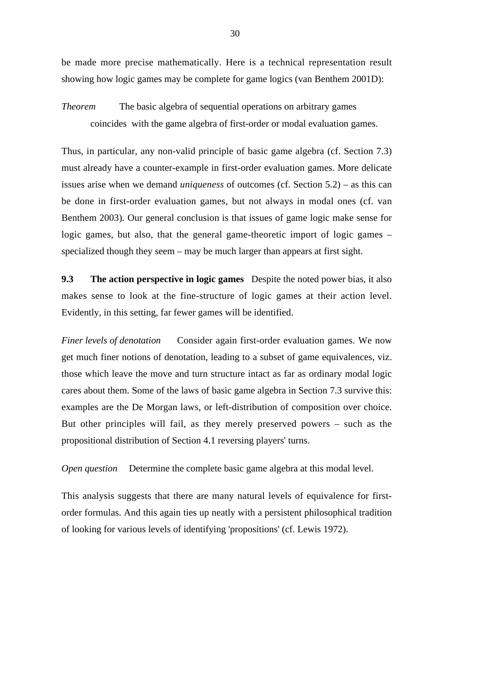be made more precise mathematically. Here is a technical representation result showing how logic games may be complete for game logics (van Benthem 2001D):

*Theorem* The basic algebra of sequential operations on arbitrary games coincides with the game algebra of first-order or modal evaluation games.

Thus, in particular, any non-valid principle of basic game algebra (cf. Section 7.3) must already have a counter-example in first-order evaluation games. More delicate issues arise when we demand *uniqueness* of outcomes (cf. Section 5.2) – as this can be done in first-order evaluation games, but not always in modal ones (cf. van Benthem 2003). Our general conclusion is that issues of game logic make sense for logic games, but also, that the general game-theoretic import of logic games – specialized though they seem – may be much larger than appears at first sight.

**9.3 The action perspective in logic games** Despite the noted power bias, it also makes sense to look at the fine-structure of logic games at their action level. Evidently, in this setting, far fewer games will be identified.

*Finer levels of denotation* Consider again first-order evaluation games. We now get much finer notions of denotation, leading to a subset of game equivalences, viz. those which leave the move and turn structure intact as far as ordinary modal logic cares about them. Some of the laws of basic game algebra in Section 7.3 survive this: examples are the De Morgan laws, or left-distribution of composition over choice. But other principles will fail, as they merely preserved powers – such as the propositional distribution of Section 4.1 reversing players' turns.

*Open question* Determine the complete basic game algebra at this modal level.

This analysis suggests that there are many natural levels of equivalence for firstorder formulas. And this again ties up neatly with a persistent philosophical tradition of looking for various levels of identifying 'propositions' (cf. Lewis 1972).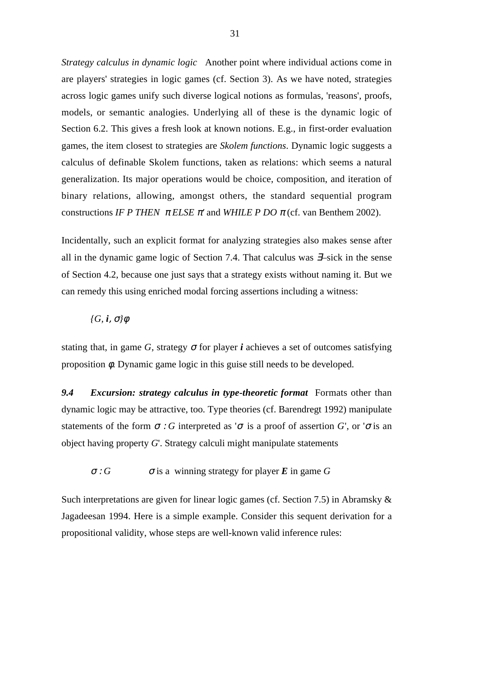*Strategy calculus in dynamic logic* Another point where individual actions come in are players' strategies in logic games (cf. Section 3). As we have noted, strategies across logic games unify such diverse logical notions as formulas, 'reasons', proofs, models, or semantic analogies. Underlying all of these is the dynamic logic of Section 6.2. This gives a fresh look at known notions. E.g., in first-order evaluation games, the item closest to strategies are *Skolem functions*. Dynamic logic suggests a calculus of definable Skolem functions, taken as relations: which seems a natural generalization. Its major operations would be choice, composition, and iteration of binary relations, allowing, amongst others, the standard sequential program constructions *IF P THEN*  $\pi$  *ELSE*  $\pi'$  and *WHILE P DO*  $\pi$  (cf. van Benthem 2002).

Incidentally, such an explicit format for analyzing strategies also makes sense after all in the dynamic game logic of Section 7.4. That calculus was ∃–sick in the sense of Section 4.2, because one just says that a strategy exists without naming it. But we can remedy this using enriched modal forcing assertions including a witness:

## *{G, i*, <sup>σ</sup>*}*φ

stating that, in game *G*, strategy  $\sigma$  for player *i* achieves a set of outcomes satisfying proposition φ. Dynamic game logic in this guise still needs to be developed.

*9.4 Excursion: strategy calculus in type-theoretic format* Formats other than dynamic logic may be attractive, too. Type theories (cf. Barendregt 1992) manipulate statements of the form  $\sigma$ : *G* interpreted as ' $\sigma$  is a proof of assertion *G*', or ' $\sigma$  is an object having property *G*'. Strategy calculi might manipulate statements

 $\sigma$ : *G*  $\sigma$  is a winning strategy for player *E* in game *G* 

Such interpretations are given for linear logic games (cf. Section 7.5) in Abramsky & Jagadeesan 1994. Here is a simple example. Consider this sequent derivation for a propositional validity, whose steps are well-known valid inference rules: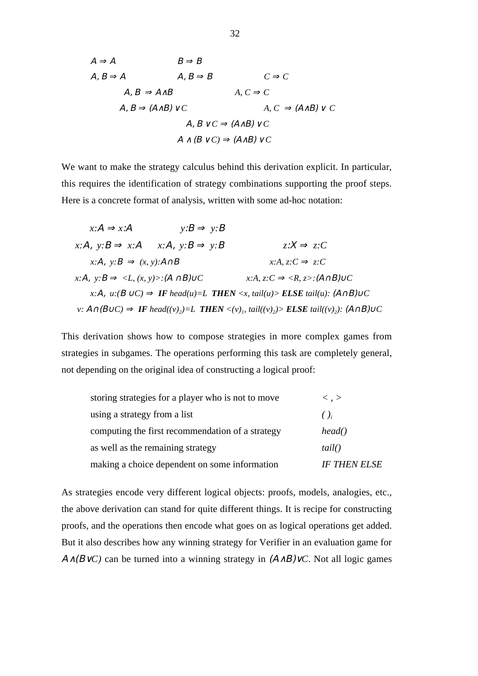$$
A \Rightarrow A
$$
  
\n
$$
B \Rightarrow B
$$
  
\n
$$
A, B \Rightarrow A
$$
  
\n
$$
A, B \Rightarrow A \land B
$$
  
\n
$$
A, C \Rightarrow C
$$
  
\n
$$
A, B \Rightarrow (A \land B) \lor C
$$
  
\n
$$
A, B \lor C \Rightarrow (A \land B) \lor C
$$
  
\n
$$
A, B \lor C \Rightarrow (A \land B) \lor C
$$
  
\n
$$
A \land (B \lor C) \Rightarrow (A \land B) \lor C
$$

We want to make the strategy calculus behind this derivation explicit. In particular, this requires the identification of strategy combinations supporting the proof steps. Here is a concrete format of analysis, written with some ad-hoc notation:

$$
x:A \Rightarrow x:A
$$
  
\n
$$
y:B \Rightarrow y:B
$$
  
\n
$$
x:A, y:B \Rightarrow x:A
$$
  
\n
$$
x:A, y:B \Rightarrow y:B
$$
  
\n
$$
z:X \Rightarrow z:C
$$
  
\n
$$
x:A, y:B \Rightarrow (x, y):A \cap B
$$
  
\n
$$
x:A, z:C \Rightarrow z:C
$$
  
\n
$$
x:A, y:B \Rightarrow \langle L, (x, y) \rangle : (A \cap B) \cup C
$$
  
\n
$$
x:A, z:C \Rightarrow \langle R, z \rangle : (A \cap B) \cup C
$$
  
\n
$$
x:A, u:(B \cup C) \Rightarrow \text{IF head}(u)=L \text{ THEN } \langle x, tail(u) \rangle \text{ ELSE tail}(u): (A \cap B) \cup C
$$
  
\n
$$
v: A \cap (B \cup C) \Rightarrow \text{IF head}((v)_2)=L \text{ THEN } \langle v \rangle_I, tail((v)_2) \rangle \text{ ELSE tail}((v)_2): (A \cap B) \cup C
$$

This derivation shows how to compose strategies in more complex games from strategies in subgames. The operations performing this task are completely general, not depending on the original idea of constructing a logical proof:

| storing strategies for a player who is not to move | $\langle . \rangle$ |
|----------------------------------------------------|---------------------|
| using a strategy from a list                       | ()                  |
| computing the first recommendation of a strategy   | head()              |
| as well as the remaining strategy                  | tail()              |
| making a choice dependent on some information      | <b>IF THEN ELSE</b> |

As strategies encode very different logical objects: proofs, models, analogies, etc., the above derivation can stand for quite different things. It is recipe for constructing proofs, and the operations then encode what goes on as logical operations get added. But it also describes how any winning strategy for Verifier in an evaluation game for Α∧(Β∨*C)* can be turned into a winning strategy in (Α∧Β)∨*C*. Not all logic games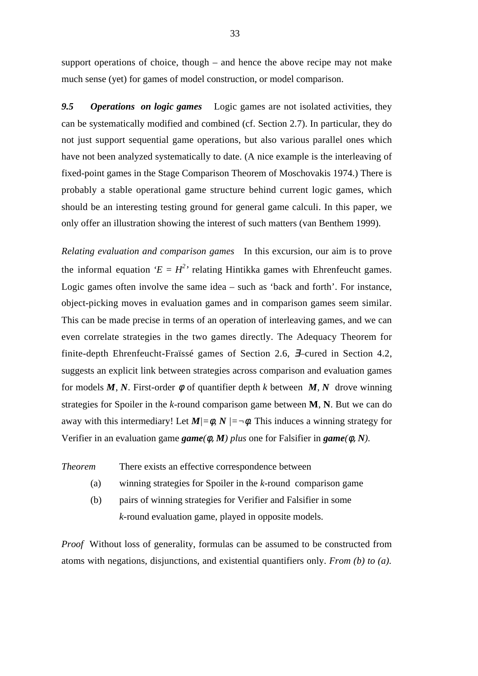support operations of choice, though – and hence the above recipe may not make much sense (yet) for games of model construction, or model comparison.

*9.5 Operations on logic games* Logic games are not isolated activities, they can be systematically modified and combined (cf. Section 2.7). In particular, they do not just support sequential game operations, but also various parallel ones which have not been analyzed systematically to date. (A nice example is the interleaving of fixed-point games in the Stage Comparison Theorem of Moschovakis 1974.) There is probably a stable operational game structure behind current logic games, which should be an interesting testing ground for general game calculi. In this paper, we only offer an illustration showing the interest of such matters (van Benthem 1999).

*Relating evaluation and comparison games* In this excursion, our aim is to prove the informal equation  $E = H^2$ <sup>,</sup> relating Hintikka games with Ehrenfeucht games. Logic games often involve the same idea – such as 'back and forth'. For instance, object-picking moves in evaluation games and in comparison games seem similar. This can be made precise in terms of an operation of interleaving games, and we can even correlate strategies in the two games directly. The Adequacy Theorem for finite-depth Ehrenfeucht-Fraïssé games of Section 2.6, ∃–cured in Section 4.2, suggests an explicit link between strategies across comparison and evaluation games for models  $M$ ,  $N$ . First-order  $\phi$  of quantifier depth  $k$  between  $M$ ,  $N$  drove winning strategies for Spoiler in the *k*-round comparison game between **M**, **N**. But we can do away with this intermediary! Let  $M/=\phi$ ,  $N/=\neg \phi$ . This induces a winning strategy for Verifier in an evaluation game *game(*φ, *M) plus* one for Falsifier in *game(*φ, *N).*

*Theorem* There exists an effective correspondence between

- (a) winning strategies for Spoiler in the *k*-round comparison game
- (b) pairs of winning strategies for Verifier and Falsifier in some *k*-round evaluation game, played in opposite models.

*Proof* Without loss of generality, formulas can be assumed to be constructed from atoms with negations, disjunctions, and existential quantifiers only. *From (b) to (a).*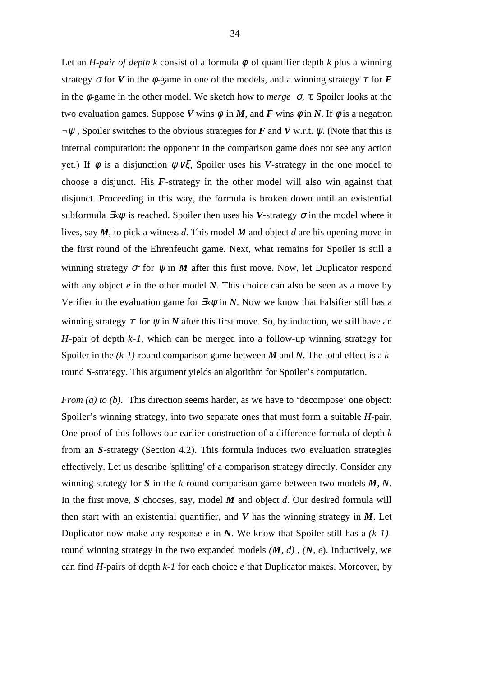Let an *H-pair of depth k* consist of a formula  $\phi$  of quantifier depth *k* plus a winning strategy  $\sigma$  for *V* in the  $\phi$ -game in one of the models, and a winning strategy  $\tau$  for *F* in the φ-game in the other model. We sketch how to *merge* <sup>σ</sup>*,* τ*.* Spoiler looks at the two evaluation games. Suppose *V* wins  $\phi$  in *M*, and *F* wins  $\phi$  in *N*. If  $\phi$  is a negation *¬*ψ , Spoiler switches to the obvious strategies for *F* and *V* w.r.t. ψ. (Note that this is internal computation: the opponent in the comparison game does not see any action yet.) If *ϕ* is a disjunction  $ψ∨ξ$ , Spoiler uses his *V*-strategy in the one model to choose a disjunct. His *F*-strategy in the other model will also win against that disjunct. Proceeding in this way, the formula is broken down until an existential subformula  $\exists x \psi$  is reached. Spoiler then uses his *V*-strategy  $\sigma$  in the model where it lives, say *M*, to pick a witness *d*. This model *M* and object *d* are his opening move in the first round of the Ehrenfeucht game. Next, what remains for Spoiler is still a winning strategy  $\sigma$  for  $\psi$  in *M* after this first move. Now, let Duplicator respond with any object *e* in the other model *N*. This choice can also be seen as a move by Verifier in the evaluation game for  $\exists x \psi$  in *N*. Now we know that Falsifier still has a winning strategy  $\tau$  for  $\psi$  in *N* after this first move. So, by induction, we still have an *H*-pair of depth *k-1*, which can be merged into a follow-up winning strategy for Spoiler in the *(k-1)-*round comparison game between *M* and *N*. The total effect is a *k*round *S*-strategy. This argument yields an algorithm for Spoiler's computation.

*From (a) to (b).* This direction seems harder, as we have to 'decompose' one object: Spoiler's winning strategy, into two separate ones that must form a suitable *H*-pair. One proof of this follows our earlier construction of a difference formula of depth *k* from an *S*-strategy (Section 4.2). This formula induces two evaluation strategies effectively. Let us describe 'splitting' of a comparison strategy directly. Consider any winning strategy for *S* in the *k*-round comparison game between two models *M, N*. In the first move, *S* chooses, say, model *M* and object *d*. Our desired formula will then start with an existential quantifier, and *V* has the winning strategy in *M*. Let Duplicator now make any response *e* in *N*. We know that Spoiler still has a *(k-1)* round winning strategy in the two expanded models *(M, d) , (N, e*). Inductively, we can find *H*-pairs of depth *k-1* for each choice *e* that Duplicator makes. Moreover, by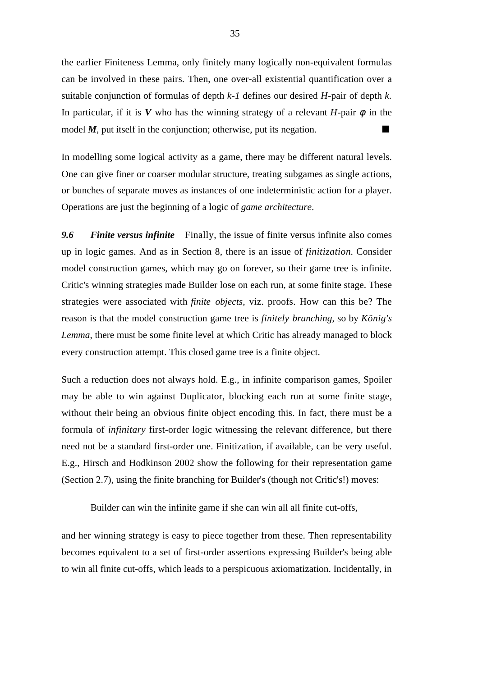the earlier Finiteness Lemma, only finitely many logically non-equivalent formulas can be involved in these pairs. Then, one over-all existential quantification over a suitable conjunction of formulas of depth *k-1* defines our desired *H*-pair of depth *k*. In particular, if it is *V* who has the winning strategy of a relevant *H*-pair  $\phi$  in the model  $M$ , put itself in the conjunction; otherwise, put its negation.

In modelling some logical activity as a game, there may be different natural levels. One can give finer or coarser modular structure, treating subgames as single actions, or bunches of separate moves as instances of one indeterministic action for a player. Operations are just the beginning of a logic of *game architecture*.

*9.6 Finite versus infinite* Finally, the issue of finite versus infinite also comes up in logic games. And as in Section 8, there is an issue of *finitization*. Consider model construction games, which may go on forever, so their game tree is infinite. Critic's winning strategies made Builder lose on each run, at some finite stage. These strategies were associated with *finite objects*, viz. proofs. How can this be? The reason is that the model construction game tree is *finitely branching*, so by *König's Lemma*, there must be some finite level at which Critic has already managed to block every construction attempt. This closed game tree is a finite object.

Such a reduction does not always hold. E.g., in infinite comparison games, Spoiler may be able to win against Duplicator, blocking each run at some finite stage, without their being an obvious finite object encoding this. In fact, there must be a formula of *infinitary* first-order logic witnessing the relevant difference, but there need not be a standard first-order one. Finitization, if available, can be very useful. E.g., Hirsch and Hodkinson 2002 show the following for their representation game (Section 2.7), using the finite branching for Builder's (though not Critic's!) moves:

Builder can win the infinite game if she can win all all finite cut-offs,

and her winning strategy is easy to piece together from these. Then representability becomes equivalent to a set of first-order assertions expressing Builder's being able to win all finite cut-offs, which leads to a perspicuous axiomatization. Incidentally, in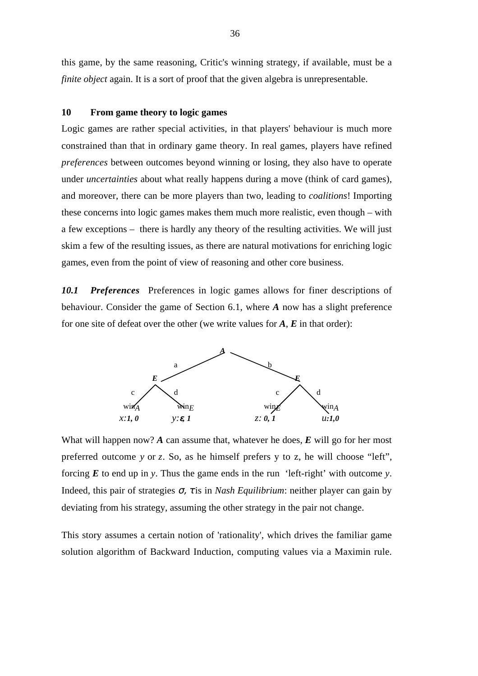this game, by the same reasoning, Critic's winning strategy, if available, must be a *finite object* again. It is a sort of proof that the given algebra is unrepresentable.

### **10 From game theory to logic games**

Logic games are rather special activities, in that players' behaviour is much more constrained than that in ordinary game theory. In real games, players have refined *preferences* between outcomes beyond winning or losing, they also have to operate under *uncertainties* about what really happens during a move (think of card games), and moreover, there can be more players than two, leading to *coalitions*! Importing these concerns into logic games makes them much more realistic, even though – with a few exceptions – there is hardly any theory of the resulting activities. We will just skim a few of the resulting issues, as there are natural motivations for enriching logic games, even from the point of view of reasoning and other core business.

10.1 **Preferences** Preferences in logic games allows for finer descriptions of behaviour. Consider the game of Section 6.1, where *A* now has a slight preference for one site of defeat over the other (we write values for *A*, *E* in that order):



What will happen now? *A* can assume that, whatever he does, *E* will go for her most preferred outcome *y* or *z*. So, as he himself prefers y to z, he will choose "left", forcing *E* to end up in *y*. Thus the game ends in the run 'left-right' with outcome *y*. Indeed, this pair of strategies σ, τ is in *Nash Equilibrium*: neither player can gain by deviating from his strategy, assuming the other strategy in the pair not change.

This story assumes a certain notion of 'rationality', which drives the familiar game solution algorithm of Backward Induction, computing values via a Maximin rule.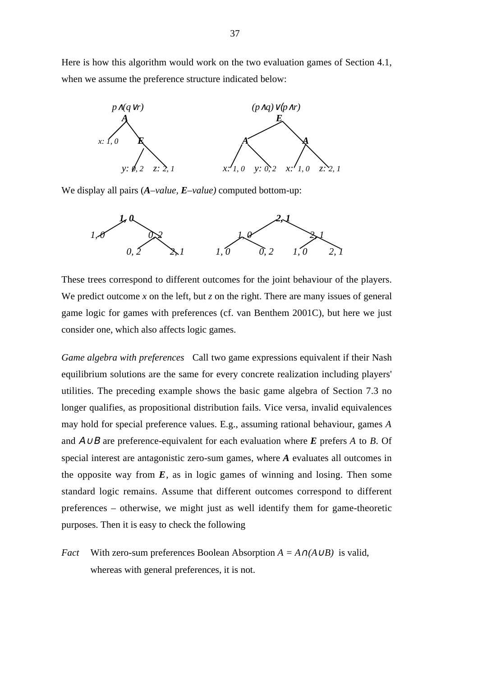Here is how this algorithm would work on the two evaluation games of Section 4.1, when we assume the preference structure indicated below:



We display all pairs (*A–value, E–value)* computed bottom-up:



These trees correspond to different outcomes for the joint behaviour of the players. We predict outcome x on the left, but  $\zeta$  on the right. There are many issues of general game logic for games with preferences (cf. van Benthem 2001C), but here we just consider one, which also affects logic games.

*Game algebra with preferences* Call two game expressions equivalent if their Nash equilibrium solutions are the same for every concrete realization including players' utilities. The preceding example shows the basic game algebra of Section 7.3 no longer qualifies, as propositional distribution fails. Vice versa, invalid equivalences may hold for special preference values. E.g., assuming rational behaviour, games *A* and Α∪Β are preference-equivalent for each evaluation where *E* prefers *A* to *B*. Of special interest are antagonistic zero-sum games, where *A* evaluates all outcomes in the opposite way from  $E$ , as in logic games of winning and losing. Then some standard logic remains. Assume that different outcomes correspond to different preferences – otherwise, we might just as well identify them for game-theoretic purposes. Then it is easy to check the following

*Fact* With zero-sum preferences Boolean Absorption  $A = A \cap (A \cup B)$  is valid, whereas with general preferences, it is not.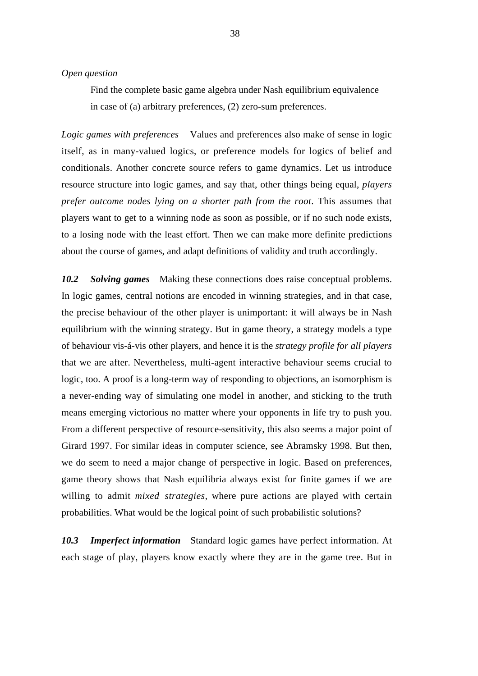#### *Open question*

Find the complete basic game algebra under Nash equilibrium equivalence in case of (a) arbitrary preferences, (2) zero-sum preferences.

*Logic games with preferences* Values and preferences also make of sense in logic itself, as in many-valued logics, or preference models for logics of belief and conditionals. Another concrete source refers to game dynamics. Let us introduce resource structure into logic games, and say that, other things being equal, *players prefer outcome nodes lying on a shorter path from the root*. This assumes that players want to get to a winning node as soon as possible, or if no such node exists, to a losing node with the least effort. Then we can make more definite predictions about the course of games, and adapt definitions of validity and truth accordingly.

*10.2 Solving games* Making these connections does raise conceptual problems. In logic games, central notions are encoded in winning strategies, and in that case, the precise behaviour of the other player is unimportant: it will always be in Nash equilibrium with the winning strategy. But in game theory, a strategy models a type of behaviour vis-á-vis other players, and hence it is the *strategy profile for all players* that we are after. Nevertheless, multi-agent interactive behaviour seems crucial to logic, too. A proof is a long-term way of responding to objections, an isomorphism is a never-ending way of simulating one model in another, and sticking to the truth means emerging victorious no matter where your opponents in life try to push you. From a different perspective of resource-sensitivity, this also seems a major point of Girard 1997. For similar ideas in computer science, see Abramsky 1998. But then, we do seem to need a major change of perspective in logic. Based on preferences, game theory shows that Nash equilibria always exist for finite games if we are willing to admit *mixed strategies*, where pure actions are played with certain probabilities. What would be the logical point of such probabilistic solutions?

*10.3 Imperfect information* Standard logic games have perfect information. At each stage of play, players know exactly where they are in the game tree. But in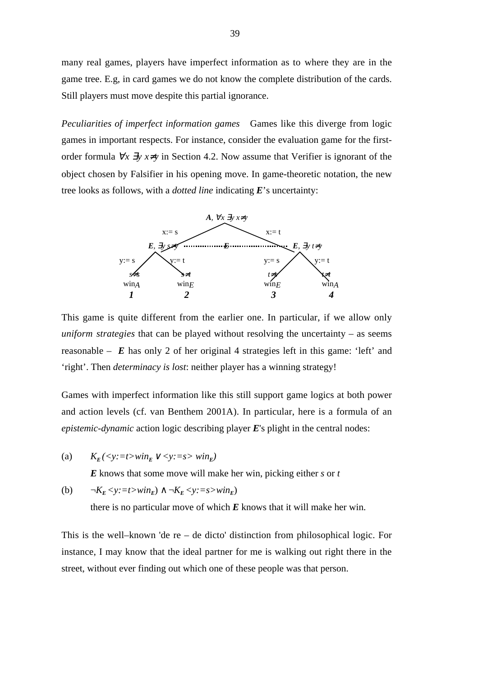many real games, players have imperfect information as to where they are in the game tree. E.g, in card games we do not know the complete distribution of the cards. Still players must move despite this partial ignorance.

*Peculiarities of imperfect information games* Games like this diverge from logic games in important respects. For instance, consider the evaluation game for the firstorder formula ∀*x* ∃*y x*≠*y* in Section 4.2. Now assume that Verifier is ignorant of the object chosen by Falsifier in his opening move. In game-theoretic notation, the new tree looks as follows, with a *dotted line* indicating *E*'s uncertainty:



This game is quite different from the earlier one. In particular, if we allow only *uniform strategies* that can be played without resolving the uncertainty – as seems reasonable  $\vec{E}$  has only 2 of her original 4 strategies left in this game: 'left' and 'right'. Then *determinacy is lost*: neither player has a winning strategy!

Games with imperfect information like this still support game logics at both power and action levels (cf. van Benthem 2001A). In particular, here is a formula of an *epistemic-dynamic* action logic describing player *E*'s plight in the central nodes:

(a)  $K_E \left( \langle y := t \rangle \text{ with } E \vee \langle y := s \rangle \text{ with } E \right)$ 

*E* knows that some move will make her win, picking either *s* or *t*

(b)  $\neg K_E \leq y := t \geq w \leq h_E \land \neg K_E \leq y := s \geq w \leq h_E$ 

there is no particular move of which  $E$  knows that it will make her win.

This is the well–known 'de re – de dicto' distinction from philosophical logic. For instance, I may know that the ideal partner for me is walking out right there in the street, without ever finding out which one of these people was that person.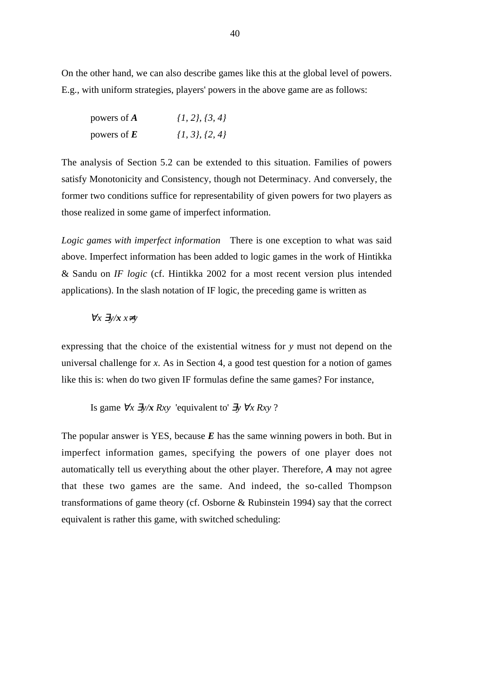On the other hand, we can also describe games like this at the global level of powers. E.g., with uniform strategies, players' powers in the above game are as follows:

| powers of $A$ | $\{1, 2\}, \{3, 4\}$ |
|---------------|----------------------|
| powers of $E$ | $\{1, 3\}, \{2, 4\}$ |

The analysis of Section 5.2 can be extended to this situation. Families of powers satisfy Monotonicity and Consistency, though not Determinacy. And conversely, the former two conditions suffice for representability of given powers for two players as those realized in some game of imperfect information.

*Logic games with imperfect information* There is one exception to what was said above. Imperfect information has been added to logic games in the work of Hintikka & Sandu on *IF logic* (cf. Hintikka 2002 for a most recent version plus intended applications). In the slash notation of IF logic, the preceding game is written as

$$
\forall x\ \exists y/x\ x \neq y
$$

expressing that the choice of the existential witness for *y* must not depend on the universal challenge for *x*. As in Section 4, a good test question for a notion of games like this is: when do two given IF formulas define the same games? For instance,

Is game  $\forall x \exists y/x Rxy$  'equivalent to'  $\exists y \forall x Rxy$  ?

The popular answer is YES, because  $E$  has the same winning powers in both. But in imperfect information games, specifying the powers of one player does not automatically tell us everything about the other player. Therefore, *A* may not agree that these two games are the same. And indeed, the so-called Thompson transformations of game theory (cf. Osborne & Rubinstein 1994) say that the correct equivalent is rather this game, with switched scheduling: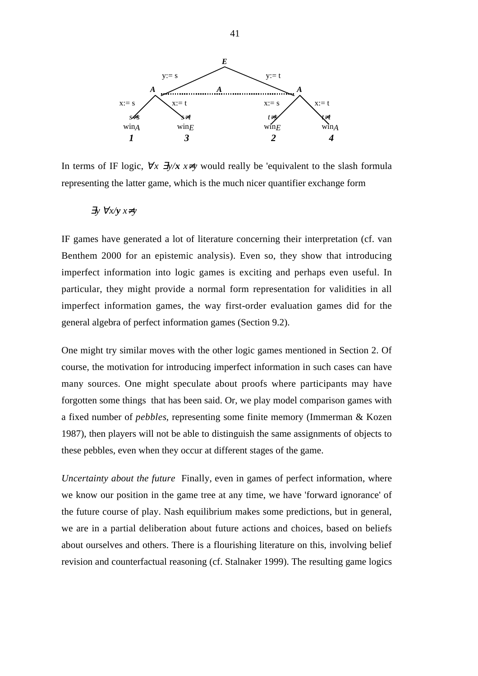

In terms of IF logic,  $\forall x \exists y/x \ x \neq y$  would really be 'equivalent to the slash formula representing the latter game, which is the much nicer quantifier exchange form

$$
\exists y \ \forall x \land y \ x \neq y
$$

IF games have generated a lot of literature concerning their interpretation (cf. van Benthem 2000 for an epistemic analysis). Even so, they show that introducing imperfect information into logic games is exciting and perhaps even useful. In particular, they might provide a normal form representation for validities in all imperfect information games, the way first-order evaluation games did for the general algebra of perfect information games (Section 9.2).

One might try similar moves with the other logic games mentioned in Section 2. Of course, the motivation for introducing imperfect information in such cases can have many sources. One might speculate about proofs where participants may have forgotten some things that has been said. Or, we play model comparison games with a fixed number of *pebbles*, representing some finite memory (Immerman & Kozen 1987), then players will not be able to distinguish the same assignments of objects to these pebbles, even when they occur at different stages of the game.

*Uncertainty about the future* Finally, even in games of perfect information, where we know our position in the game tree at any time, we have 'forward ignorance' of the future course of play. Nash equilibrium makes some predictions, but in general, we are in a partial deliberation about future actions and choices, based on beliefs about ourselves and others. There is a flourishing literature on this, involving belief revision and counterfactual reasoning (cf. Stalnaker 1999). The resulting game logics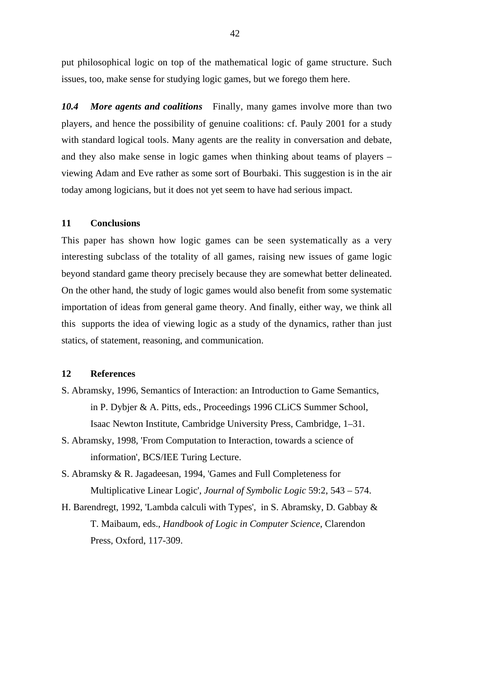put philosophical logic on top of the mathematical logic of game structure. Such issues, too, make sense for studying logic games, but we forego them here.

*10.4 More agents and coalitions* Finally, many games involve more than two players, and hence the possibility of genuine coalitions: cf. Pauly 2001 for a study with standard logical tools. Many agents are the reality in conversation and debate, and they also make sense in logic games when thinking about teams of players – viewing Adam and Eve rather as some sort of Bourbaki. This suggestion is in the air today among logicians, but it does not yet seem to have had serious impact.

## **11 Conclusions**

This paper has shown how logic games can be seen systematically as a very interesting subclass of the totality of all games, raising new issues of game logic beyond standard game theory precisely because they are somewhat better delineated. On the other hand, the study of logic games would also benefit from some systematic importation of ideas from general game theory. And finally, either way, we think all this supports the idea of viewing logic as a study of the dynamics, rather than just statics, of statement, reasoning, and communication.

### **12 References**

- S. Abramsky, 1996, Semantics of Interaction: an Introduction to Game Semantics, in P. Dybjer & A. Pitts, eds., Proceedings 1996 CLiCS Summer School, Isaac Newton Institute, Cambridge University Press, Cambridge, 1–31.
- S. Abramsky, 1998, 'From Computation to Interaction, towards a science of information', BCS/IEE Turing Lecture.
- S. Abramsky & R. Jagadeesan, 1994, 'Games and Full Completeness for Multiplicative Linear Logic', *Journal of Symbolic Logic* 59:2, 543 – 574.
- H. Barendregt, 1992, 'Lambda calculi with Types', in S. Abramsky, D. Gabbay & T. Maibaum, eds., *Handbook of Logic in Computer Science*, Clarendon Press, Oxford, 117-309.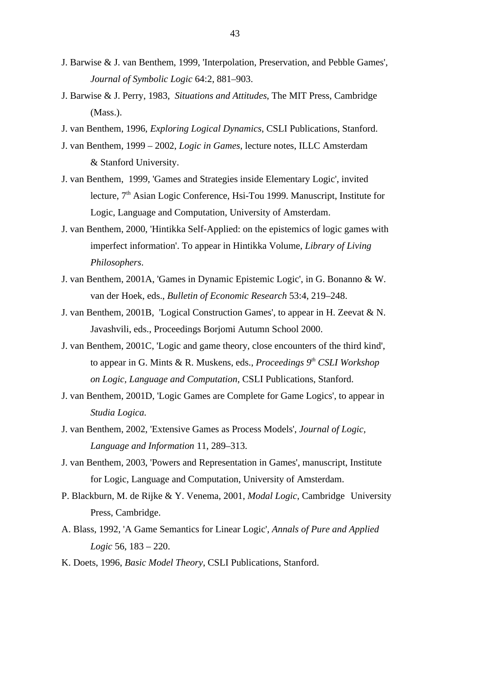- J. Barwise & J. van Benthem, 1999, 'Interpolation, Preservation, and Pebble Games', *Journal of Symbolic Logic* 64:2, 881–903.
- J. Barwise & J. Perry, 1983, *Situations and Attitudes*, The MIT Press, Cambridge (Mass.).
- J. van Benthem, 1996, *Exploring Logical Dynamics*, CSLI Publications, Stanford.
- J. van Benthem, 1999 2002, *Logic in Games*, lecture notes, ILLC Amsterdam & Stanford University.
- J. van Benthem, 1999, 'Games and Strategies inside Elementary Logic', invited lecture, 7<sup>th</sup> Asian Logic Conference, Hsi-Tou 1999. Manuscript, Institute for Logic, Language and Computation, University of Amsterdam.
- J. van Benthem, 2000, 'Hintikka Self-Applied: on the epistemics of logic games with imperfect information'. To appear in Hintikka Volume, *Library of Living Philosophers*.
- J. van Benthem, 2001A, 'Games in Dynamic Epistemic Logic', in G. Bonanno & W. van der Hoek, eds., *Bulletin of Economic Research* 53:4, 219–248.
- J. van Benthem, 2001B, 'Logical Construction Games', to appear in H. Zeevat & N. Javashvili, eds., Proceedings Borjomi Autumn School 2000.
- J. van Benthem, 2001C, 'Logic and game theory, close encounters of the third kind', to appear in G. Mints & R. Muskens, eds., *Proceedings 9th CSLI Workshop on Logic, Language and Computation*, CSLI Publications, Stanford.
- J. van Benthem, 2001D, 'Logic Games are Complete for Game Logics', to appear in *Studia Logica.*
- J. van Benthem, 2002, 'Extensive Games as Process Models', *Journal of Logic, Language and Information* 11, 289–313.
- J. van Benthem, 2003, 'Powers and Representation in Games', manuscript, Institute for Logic, Language and Computation, University of Amsterdam.
- P. Blackburn, M. de Rijke & Y. Venema, 2001, *Modal Logic*, Cambridge University Press, Cambridge.
- A. Blass, 1992, 'A Game Semantics for Linear Logic', *Annals of Pure and Applied Logic* 56, 183 – 220.
- K. Doets, 1996, *Basic Model Theory*, CSLI Publications, Stanford.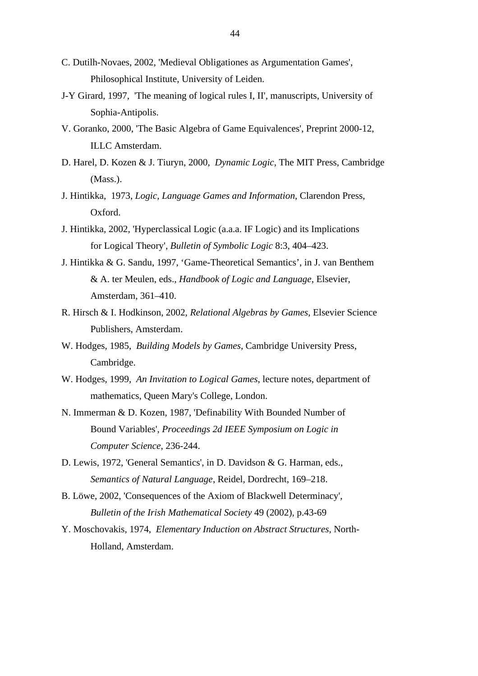- C. Dutilh-Novaes, 2002, 'Medieval Obligationes as Argumentation Games', Philosophical Institute, University of Leiden.
- J-Y Girard, 1997, 'The meaning of logical rules I, II', manuscripts, University of Sophia-Antipolis.
- V. Goranko, 2000, 'The Basic Algebra of Game Equivalences', Preprint 2000-12, ILLC Amsterdam.
- D. Harel, D. Kozen & J. Tiuryn, 2000, *Dynamic Logic*, The MIT Press, Cambridge (Mass.).
- J. Hintikka, 1973, *Logic, Language Games and Information*, Clarendon Press, Oxford.
- J. Hintikka, 2002, 'Hyperclassical Logic (a.a.a. IF Logic) and its Implications for Logical Theory', *Bulletin of Symbolic Logic* 8:3, 404–423.
- J. Hintikka & G. Sandu, 1997, 'Game-Theoretical Semantics', in J. van Benthem & A. ter Meulen, eds., *Handbook of Logic and Language*, Elsevier, Amsterdam, 361–410.
- R. Hirsch & I. Hodkinson, 2002, *Relational Algebras by Games*, Elsevier Science Publishers, Amsterdam.
- W. Hodges, 1985, *Building Models by Games*, Cambridge University Press, Cambridge.
- W. Hodges, 1999, *An Invitation to Logical Games*, lecture notes, department of mathematics, Queen Mary's College, London.
- N. Immerman & D. Kozen, 1987, 'Definability With Bounded Number of Bound Variables', *Proceedings 2d IEEE Symposium on Logic in Computer Science*, 236-244.
- D. Lewis, 1972, 'General Semantics', in D. Davidson & G. Harman, eds., *Semantics of Natural Language*, Reidel, Dordrecht, 169–218.
- B. Löwe, 2002, 'Consequences of the Axiom of Blackwell Determinacy', *Bulletin of the Irish Mathematical Society* 49 (2002), p.43-69
- Y. Moschovakis, 1974, *Elementary Induction on Abstract Structures*, North-Holland, Amsterdam.